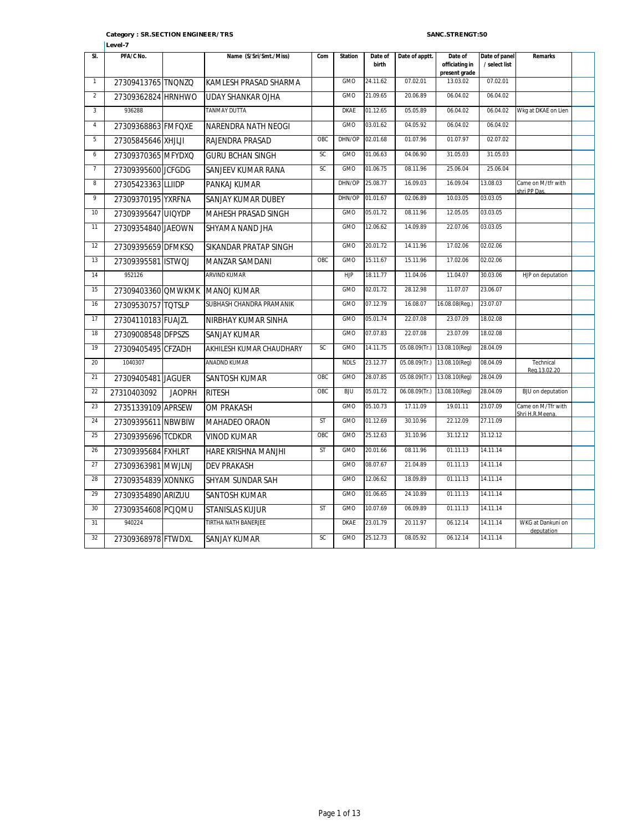| SI.            | PFA/C No.          |               | Name (S/Sri/Smt./Miss)      | Com       | <b>Station</b> | Date of<br>birth | Date of apptt.   | Date of<br>officiating in<br>present grade | Date of panel<br>/ select list | Remarks                              |  |
|----------------|--------------------|---------------|-----------------------------|-----------|----------------|------------------|------------------|--------------------------------------------|--------------------------------|--------------------------------------|--|
| $\mathbf{1}$   | 27309413765 TNONZO |               | KAMLESH PRASAD SHARMA       |           | GMO            | 24.11.62         | 07.02.01         | 13.03.02                                   | 07.02.01                       |                                      |  |
| $\overline{2}$ | 27309362824 HRNHWO |               | <b>UDAY SHANKAR OJHA</b>    |           | GMO            | 21.09.65         | 20.06.89         | 06.04.02                                   | 06.04.02                       |                                      |  |
| $\overline{3}$ | 936288             |               | <b>TANMAY DUTTA</b>         |           | <b>DKAE</b>    | 01.12.65         | 05.05.89         | 06.04.02                                   | 06.04.02                       | Wkg at DKAE on Lien                  |  |
| 4              | 27309368863 FMFQXE |               | NARENDRA NATH NEOGI         |           | GMO            | 03.01.62         | 04.05.92         | 06.04.02                                   | 06.04.02                       |                                      |  |
| 5              | 27305845646 XHJLJI |               | RAJENDRA PRASAD             | OBC       | DHN/OP         | 02.01.68         | 01.07.96         | 01.07.97                                   | 02.07.02                       |                                      |  |
| 6              | 27309370365 MFYDXQ |               | <b>GURU BCHAN SINGH</b>     | SC        | <b>GMO</b>     | 01.06.63         | 04.06.90         | 31.05.03                                   | 31.05.03                       |                                      |  |
| $\overline{7}$ | 27309395600 JCFGDG |               | SANJEEV KUMAR RANA          | SC        | <b>GMO</b>     | 01.06.75         | 08.11.96         | 25.06.04                                   | 25.06.04                       |                                      |  |
| $\overline{8}$ | 27305423363 LLIIDP |               | PANKAJ KUMAR                |           | DHN/OP         | 25.08.77         | 16.09.03         | 16.09.04                                   | 13.08.03                       | Came on M/tfr with<br>shri PP Das.   |  |
| $\overline{9}$ | 27309370195 YXRFNA |               | SANJAY KUMAR DUBEY          |           | DHN/OP         | 01.01.67         | 02.06.89         | 10.03.05                                   | 03.03.05                       |                                      |  |
| 10             | 27309395647 UIQYDP |               | MAHESH PRASAD SINGH         |           | GMO            | 05.01.72         | 08.11.96         | 12.05.05                                   | 03.03.05                       |                                      |  |
| 11             | 27309354840 JAEOWN |               | SHYAMA NAND JHA             |           | <b>GMO</b>     | 12.06.62         | 14.09.89         | 22.07.06                                   | 03.03.05                       |                                      |  |
| 12             | 27309395659 DFMKSQ |               | SIKANDAR PRATAP SINGH       |           | GMO            | 20.01.72         | 14.11.96         | 17.02.06                                   | 02.02.06                       |                                      |  |
| 13             | 27309395581 ISTWOJ |               | MANZAR SAMDANI              | OBC       | GMO            | 15.11.67         | 15.11.96         | 17.02.06                                   | 02.02.06                       |                                      |  |
| 14             | 952126             |               | <b>ARVIND KUMAR</b>         |           | <b>HJP</b>     | 18.11.77         | 11.04.06         | 11.04.07                                   | 30.03.06                       | HJP on deputation                    |  |
| 15             | 27309403360 QMWKMK |               | <b>MANOJ KUMAR</b>          |           | <b>GMO</b>     | 02.01.72         | 28.12.98         | 11.07.07                                   | 23.06.07                       |                                      |  |
| 16             | 27309530757 TOTSLP |               | SUBHASH CHANDRA PRAMANIK    |           | <b>GMO</b>     | 07.12.79         | 16.08.07         | 16.08.08(Reg.)                             | 23.07.07                       |                                      |  |
| 17             | 27304110183 FUAJZL |               | NIRBHAY KUMAR SINHA         |           | <b>GMO</b>     | 05.01.74         | 22.07.08         | 23.07.09                                   | 18.02.08                       |                                      |  |
| 18             | 27309008548 DFPSZS |               | <b>SANJAY KUMAR</b>         |           | <b>GMO</b>     | 07.07.83         | 22.07.08         | 23.07.09                                   | 18.02.08                       |                                      |  |
| 19             | 27309405495 CFZADH |               | AKHILESH KUMAR CHAUDHARY    | SC        | GMO            | 14.11.75         | 05.08.09(Tr.)    | 13.08.10(Reg)                              | 28.04.09                       |                                      |  |
| 20             | 1040307            |               | <b>ANADND KUMAR</b>         |           | <b>NDLS</b>    | 23.12.77         | 05.08.09(Tr.)    | 13.08.10(Reg)                              | 08.04.09                       | Technical<br>Reg. 13.02.20           |  |
| 21             | 27309405481 JAGUER |               | <b>SANTOSH KUMAR</b>        | OBC       | GMO            | 28.07.85         | $05.08.09$ (Tr.) | 13.08.10(Reg)                              | 28.04.09                       |                                      |  |
| 22             | 27310403092        | <b>JAOPRH</b> | <b>RITESH</b>               | OBC       | <b>BJU</b>     | 05.01.72         | $06.08.09$ (Tr.) | 13.08.10(Reg)                              | 28.04.09                       | <b>BJU</b> on deputation             |  |
| 23             | 27351339109 APRSEW |               | <b>OM PRAKASH</b>           |           | <b>GMO</b>     | 05.10.73         | 17.11.09         | 19.01.11                                   | 23.07.09                       | Came on M/Tfr with<br>Shri H.R.Meena |  |
| 24             | 27309395611 NBWBIW |               | MAHADEO ORAON               | ST        | GMO            | 01.12.69         | 30.10.96         | 22.12.09                                   | 27.11.09                       |                                      |  |
| 25             | 27309395696 TCDKDR |               | <b>VINOD KUMAR</b>          | OBC       | GMO            | 25.12.63         | 31.10.96         | 31.12.12                                   | 31.12.12                       |                                      |  |
| 26             | 27309395684 FXHLRT |               | HARE KRISHNA MANJHI         | <b>ST</b> | <b>GMO</b>     | 20.01.66         | 08.11.96         | 01.11.13                                   | 14.11.14                       |                                      |  |
| 27             | 27309363981 MWJLNJ |               | <b>DEV PRAKASH</b>          |           | <b>GMO</b>     | 08.07.67         | 21.04.89         | 01.11.13                                   | 14.11.14                       |                                      |  |
| 28             | 27309354839 XONNKG |               | SHYAM SUNDAR SAH            |           | <b>GMO</b>     | 12.06.62         | 18.09.89         | 01.11.13                                   | 14.11.14                       |                                      |  |
| 29             | 27309354890 ARIZUU |               | SANTOSH KUMAR               |           | <b>GMO</b>     | 01.06.65         | 24.10.89         | 01.11.13                                   | 14.11.14                       |                                      |  |
| 30             | 27309354608 PCJQMU |               | STANISLAS KUJUR             | <b>ST</b> | GMO            | 10.07.69         | 06.09.89         | 01.11.13                                   | 14.11.14                       |                                      |  |
| 31             | 940224             |               | <b>TIRTHA NATH BANERJEE</b> |           | <b>DKAE</b>    | 23.01.79         | 20.11.97         | 06.12.14                                   | 14.11.14                       | WKG at Dankuni on<br>deputation      |  |
| 32             | 27309368978 FTWDXL |               | SANJAY KUMAR                | SC        | GMO            | 25.12.73         | 08.05.92         | 06.12.14                                   | 14.11.14                       |                                      |  |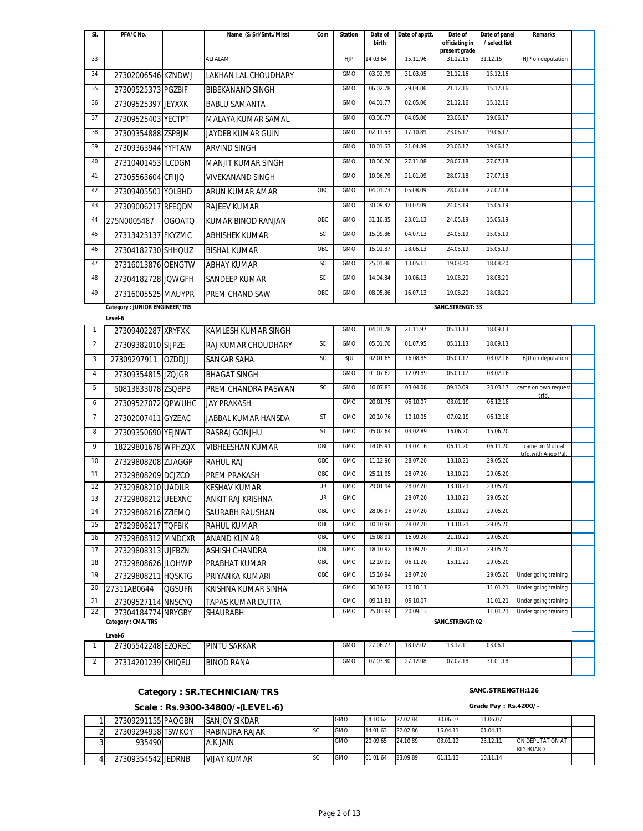| SI.            | PFA/C No.                                |               | Name (S/Sri/Smt./Miss)               | Com        | <b>Station</b> | Date of<br>birth     | Date of apptt.       | Date of<br>officiating in | Date of panel<br>/ select list | <b>Remarks</b>                        |  |
|----------------|------------------------------------------|---------------|--------------------------------------|------------|----------------|----------------------|----------------------|---------------------------|--------------------------------|---------------------------------------|--|
| 33             |                                          |               | <b>ALI ALAM</b>                      |            | <b>HJP</b>     | 14.03.64             | 15.11.96             | present grade<br>31.12.15 | 31.12.15                       | HJP on deputation                     |  |
| 34             |                                          |               |                                      |            | GMO            | 03.02.79             | 31.03.05             | 21.12.16                  | 15.12.16                       |                                       |  |
| 35             | 27302006546 KZNDWJ                       |               | LAKHAN LAL CHOUDHARY                 |            | GMO            | 06.02.78             | 29.04.06             | 21.12.16                  | 15.12.16                       |                                       |  |
|                | 27309525373 PGZBIF                       |               | <b>BIBEKANAND SINGH</b>              |            |                | 04.01.77             | 02.05.06             | 21.12.16                  | 15.12.16                       |                                       |  |
| 36             | 27309525397 JEYXXK                       |               | <b>BABLU SAMANTA</b>                 |            | GMO            |                      |                      |                           |                                |                                       |  |
| 37             | 27309525403 YECTPT                       |               | MALAYA KUMAR SAMAL                   |            | <b>GMO</b>     | 03.06.77             | 04.05.06             | 23.06.17                  | 19.06.17                       |                                       |  |
| 38             | 27309354888 ZSPBJM                       |               | JAYDEB KUMAR GUIN                    |            | GMO            | 02.11.63             | 17.10.89             | 23.06.17                  | 19.06.17                       |                                       |  |
| 39             | 27309363944 YYFTAW                       |               | <b>ARVIND SINGH</b>                  |            | GMO            | 10.01.63             | 21.04.89             | 23.06.17                  | 19.06.17                       |                                       |  |
| 40             | 27310401453 ILCDGM                       |               | <b>MANJIT KUMAR SINGH</b>            |            | GMO            | 10.06.76             | 27.11.08             | 28.07.18                  | 27.07.18                       |                                       |  |
| 41             | 27305563604 CFIIJQ                       |               | <b>VIVEKANAND SINGH</b>              |            | GMO            | 10.06.79             | 21.01.09             | 28.07.18                  | 27.07.18                       |                                       |  |
| 42             | 27309405501 YOLBHD                       |               | ARUN KUMAR AMAR                      | OBC        | GMO            | 04.01.73             | 05.08.09             | 28.07.18                  | 27.07.18                       |                                       |  |
| 43             | 27309006217 RFEQDM                       |               | <b>RAJEEV KUMAR</b>                  |            | GMO            | 30.09.82             | 10.07.09             | 24.05.19                  | 15.05.19                       |                                       |  |
| 44             | 275N0005487                              | <b>OGOATQ</b> | <b>KUMAR BINOD RANJAN</b>            | OBC        | GMO            | 31.10.85             | 23.01.13             | 24.05.19                  | 15.05.19                       |                                       |  |
| 45             | 27313423137 FKYZMC                       |               | <b>ABHISHEK KUMAR</b>                | <b>SC</b>  | GMO            | 15.09.86             | 04.07.13             | 24.05.19                  | 15.05.19                       |                                       |  |
| 46             | 27304182730 SHHQUZ                       |               | <b>BISHAL KUMAR</b>                  | OBC        | <b>GMO</b>     | 15.01.87             | 28.06.13             | 24.05.19                  | 15.05.19                       |                                       |  |
| 47             | 27316013876 OENGTW                       |               | <b>ABHAY KUMAR</b>                   | SC         | <b>GMO</b>     | 25.01.86             | 13.05.11             | 19.08.20                  | 18.08.20                       |                                       |  |
| 48             | 27304182728 JQWGFH                       |               | <b>SANDEEP KUMAR</b>                 | SC         | <b>GMO</b>     | 14.04.84             | 10.06.13             | 19.08.20                  | 18.08.20                       |                                       |  |
| 49             | 27316005525 MAUYPR                       |               | PREM CHAND SAW                       | OBC        | <b>GMO</b>     | 08.05.86             | 16.07.13             | 19.08.20                  | 18.08.20                       |                                       |  |
|                | <b>Category: JUNIOR ENGINEER/TRS</b>     |               |                                      |            |                |                      |                      | SANC.STRENGT: 33          |                                |                                       |  |
|                | Level-6                                  |               |                                      |            |                |                      |                      |                           |                                |                                       |  |
| $\mathbf{1}$   | 27309402287 XRYFXK                       |               | <b>KAMLESH KUMAR SINGH</b>           |            | GMO            | 04.01.78             | 21.11.97             | 05.11.13                  | 18.09.13                       |                                       |  |
| $\overline{2}$ | 27309382010 SIJPZE                       |               | RAJ KUMAR CHOUDHARY                  | <b>SC</b>  | GMO            | 05.01.70             | 01.07.95             | 05.11.13                  | 18.09.13                       |                                       |  |
| 3              | 27309297911                              | <b>OZDDJJ</b> | SANKAR SAHA                          | <b>SC</b>  | BJU            | 02.01.65             | 16.08.85             | 05.01.17                  | 08.02.16                       | BJU on deputation                     |  |
| $\sqrt{4}$     | 27309354815 JZQJGR                       |               | <b>BHAGAT SINGH</b>                  |            | GMO            | 01.07.62             | 12.09.89             | 05.01.17                  | 08.02.16                       |                                       |  |
| 5              | 50813833078 ZSQBPB                       |               | PREM CHANDRA PASWAN                  | SC         | GMO            | 10.07.83             | 03.04.08             | 09.10.09                  | 20.03.17                       | came on own request<br>trfd.          |  |
| 6              | 27309527072 QPWUHC                       |               | <b>JAY PRAKASH</b>                   |            | GMO            | 20.01.75             | 05.10.07             | 03.01.19                  | 06.12.18                       |                                       |  |
| $\overline{7}$ | 27302007411 GYZEAC                       |               | JABBAL KUMAR HANSDA                  | <b>ST</b>  | GMO            | 20.10.76             | 10.10.05             | 07.02.19                  | 06.12.18                       |                                       |  |
| 8              | 27309350690 YEJNWT                       |               | RASRAJ GONJHU                        | ST         | GMO            | 05.02.64             | 03.02.89             | 16.06.20                  | 15.06.20                       |                                       |  |
| 9              | 18229801678 WPHZQX                       |               | <b>VIBHEESHAN KUMAR</b>              | OBC        | GMO            | 14.05.91             | 13.07.16             | 06.11.20                  | 06.11.20                       | came on Mutual<br>trfd.with Anop Pal. |  |
| 10             | 27329808208 ZUAGGP                       |               | <b>RAHUL RAJ</b>                     | OBC        | GMO            | 11.12.96             | 28.07.20             | 13.10.21                  | 29.05.20                       |                                       |  |
| 11             | 27329808209 DCJZCO                       |               | PREM PRAKASH                         | OBC        | GMO            | 25.11.95             | 28.07.20             | 13.10.21                  | 29.05.20                       |                                       |  |
| 12             | 27329808210 UADILR                       |               | <b>KESHAV KUMAR</b>                  | UR         | <b>GMO</b>     | 29.01.94             | 28.07.20             | 13.10.21                  | 29.05.20                       |                                       |  |
| 13             | 27329808212 UEEXNC                       |               | ANKIT RAJ KRISHNA                    | <b>UR</b>  | <b>GMO</b>     |                      | 28.07.20             | 13.10.21                  | 29.05.20                       |                                       |  |
| 14             | 27329808216 ZZIEMQ                       |               | SAURABH RAUSHAN                      | OBC        | <b>GMO</b>     | 28.06.97             | 28.07.20             | 13.10.21                  | 29.05.20                       |                                       |  |
| 15             | 27329808217 TQFBIK                       |               | RAHUL KUMAR                          | OBC        | GMO            | 10.10.96             | 28.07.20<br>16.09.20 | 13.10.21<br>21.10.21      | 29.05.20<br>29.05.20           |                                       |  |
| 16<br>17       | 27329808312 MNDCXR                       |               | <b>ANAND KUMAR</b>                   | OBC<br>OBC | GMO<br>GMO     | 15.08.91<br>18.10.92 | 16.09.20             | 21.10.21                  | 29.05.20                       |                                       |  |
| 18             | 27329808313 UJFBZN                       |               | <b>ASHISH CHANDRA</b>                | OBC        | GMO            | 12.10.92             | 06.11.20             | 15.11.21                  | 29.05.20                       |                                       |  |
| 19             | 27329808626 JLOHWP<br>27329808211 HQSKTG |               | PRABHAT KUMAR<br>PRIYANKA KUMARI     | OBC        | GMO            | 15.10.94             | 28.07.20             |                           | 29.05.20                       | Under going training                  |  |
| 20             | 27311AB0644                              | <b>QGSUFN</b> | KRISHNA KUMAR SINHA                  |            | GMO            | 30.10.82             | 10.10.11             |                           | 11.01.21                       | Under going training                  |  |
| 21             |                                          |               |                                      |            | GMO            | 09.11.81             | 05.10.07             |                           | 11.01.21                       | Under going training                  |  |
| 22             | 27309527114 NNSCYQ<br>27304184774 NRYGBY |               | TAPAS KUMAR DUTTA<br><b>SHAURABH</b> |            | GMO            | 25.03.94             | 20.09.13             |                           | 11.01.21                       | Under going training                  |  |
|                | Category: CMA/TRS                        |               |                                      |            |                |                      |                      | SANC.STRENGT: 02          |                                |                                       |  |
|                | Level-6                                  |               |                                      |            |                |                      |                      |                           |                                |                                       |  |
| 1              | 27305542248 EZQREC                       |               | <b>PINTU SARKAR</b>                  |            | <b>GMO</b>     | 27.06.77             | 18.02.02             | 13.12.11                  | 03.06.11                       |                                       |  |

## 2 27314201239 KHIQEU BINOD RANA GMO 07.03.80 27.12.08 07.02.18 31.01.18

## Category : SR.TECHNICIAN/TRS **SANC.STRENGTH:126**

## **Scale : Rs.9300-34800/-(LEVEL-6) Grade Pay : Rs.4200/-**

| 27309291155 PAQGBN | <b>SANJOY SIKDAR</b> | <b>GMO</b> | 04.10.62 | 22.02.84 | 30.06.07 | 11.06.07 |                                      |  |
|--------------------|----------------------|------------|----------|----------|----------|----------|--------------------------------------|--|
| 27309294958 TSWKOY | RABINDRA RAJAK       | <b>GMO</b> | 14.01.63 | 22.02.86 | 16.04.11 | 01.04.11 |                                      |  |
| 935490             | A.K.JAIN             | <b>GMO</b> | 20.09.65 | 24.10.89 | 03.01.12 | 23.12.11 | ON DEPUTATION AT<br><b>RLY BOARD</b> |  |
| 27309354542 JEDRNB | <b>VIJAY KUMAR</b>   | <b>GMO</b> | 01.01.64 | 23.09.89 | 01.11.13 | 10.11.14 |                                      |  |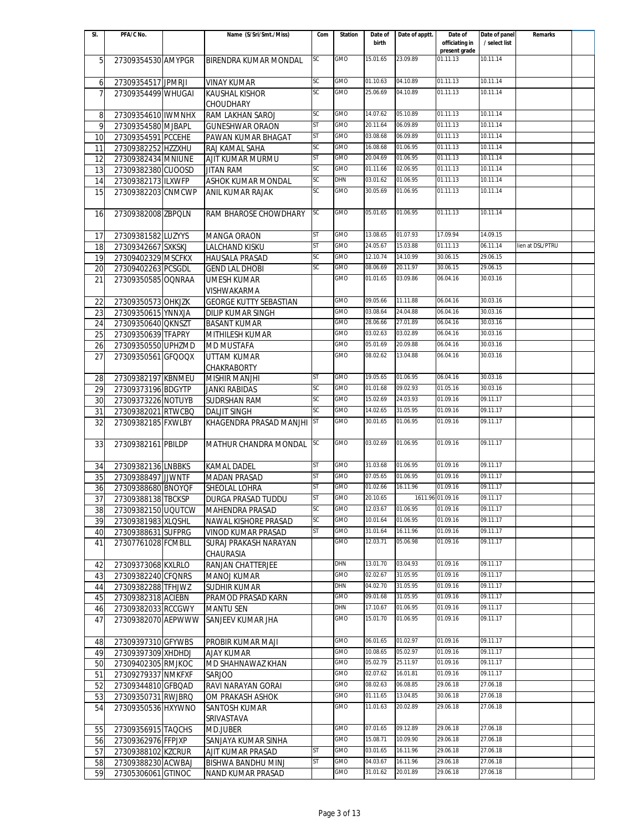| SI.             | PFA/C No.          | Name (S/Sri/Smt./Miss)        | Com       | <b>Station</b> | Date of  | Date of apptt. | Date of                         | Date of panel | Remarks          |  |
|-----------------|--------------------|-------------------------------|-----------|----------------|----------|----------------|---------------------------------|---------------|------------------|--|
|                 |                    |                               |           |                | birth    |                | officiating in<br>present grade | / select list |                  |  |
| 5               | 27309354530 AMYPGR | <b>BIRENDRA KUMAR MONDAL</b>  | SC        | GMO            | 15.01.65 | 23.09.89       | 01.11.13                        | 10.11.14      |                  |  |
|                 |                    |                               |           |                |          |                |                                 |               |                  |  |
| 6               | 27309354517 JPMRJI | <b>VINAY KUMAR</b>            | SC        | <b>GMO</b>     | 01.10.63 | 04.10.89       | 01.11.13                        | 10.11.14      |                  |  |
| $\overline{7}$  | 27309354499 WHUGAI | <b>KAUSHAL KISHOR</b>         | <b>SC</b> | GMO            | 25.06.69 | 04.10.89       | 01.11.13                        | 10.11.14      |                  |  |
|                 |                    | <b>CHOUDHARY</b>              |           |                |          |                |                                 |               |                  |  |
| 8               | 27309354610 IWMNHX | RAM LAKHAN SAROJ              | <b>SC</b> | GMO            | 14.07.62 | 05.10.89       | 01.11.13                        | 10.11.14      |                  |  |
| 9               | 27309354580 MJBAPL | <b>GUNESHWAR ORAON</b>        | ST        | GMO            | 20.11.64 | 06.09.89       | 01.11.13                        | 10.11.14      |                  |  |
| 10              | 27309354591 PCCEHE | PAWAN KUMAR BHAGAT            | ST        | GMO            | 03.08.68 | 06.09.89       | 01.11.13                        | 10.11.14      |                  |  |
| 11              | 27309382252 HZZXHU | RAJ KAMAL SAHA                | SC        | <b>GMO</b>     | 16.08.68 | 01.06.95       | 01.11.13                        | 10.11.14      |                  |  |
| 12              | 27309382434 MNIUNE | AJIT KUMAR MURMU              | <b>ST</b> | GMO            | 20.04.69 | 01.06.95       | 01.11.13                        | 10.11.14      |                  |  |
| 13              | 27309382380 CUOOSD | <b>JITAN RAM</b>              | SC        | GMO            | 01.11.66 | 02.06.95       | 01.11.13                        | 10.11.14      |                  |  |
| 14              | 27309382173 ILXWFP | ASHOK KUMAR MONDAL            | SC        | DHN            | 03.01.62 | 01.06.95       | 01.11.13                        | 10.11.14      |                  |  |
| 15              | 27309382203 CNMCWP | ANIL KUMAR RAJAK              | SC        | GMO            | 30.05.69 | 01.06.95       | 01.11.13                        | 10.11.14      |                  |  |
|                 |                    |                               |           |                |          |                |                                 |               |                  |  |
| 16              | 27309382008 ZBPQLN | RAM BHAROSE CHOWDHARY         | SC        | GMO            | 05.01.65 | 01.06.95       | 01.11.13                        | 10.11.14      |                  |  |
|                 |                    |                               |           |                |          |                |                                 |               |                  |  |
| 17              | 27309381582 LUZYYS | <b>MANGA ORAON</b>            | <b>ST</b> | <b>GMO</b>     | 13.08.65 | 01.07.93       | 17.09.94                        | 14.09.15      |                  |  |
| 18              | 27309342667 SXKSKJ | <b>LALCHAND KISKU</b>         | <b>ST</b> | <b>GMO</b>     | 24.05.67 | 15.03.88       | 01.11.13                        | 06.11.14      | lien at DSL/PTRU |  |
| 19              | 27309402329 MSCFKX | <b>HAUSALA PRASAD</b>         | SC        | GMO            | 12.10.74 | 14.10.99       | 30.06.15                        | 29.06.15      |                  |  |
| 20              | 27309402263 PCSGDL | <b>GEND LAL DHOBI</b>         | SC        | <b>GMO</b>     | 08.06.69 | 20.11.97       | 30.06.15                        | 29.06.15      |                  |  |
| 21              | 27309350585 OQNRAA | <b>UMESH KUMAR</b>            |           | GMO            | 01.01.65 | 03.09.86       | 06.04.16                        | 30.03.16      |                  |  |
|                 |                    | VISHWAKARMA                   |           |                |          |                |                                 |               |                  |  |
| 22              | 27309350573 OHKJZK | <b>GEORGE KUTTY SEBASTIAN</b> |           | GMO            | 09.05.66 | 11.11.88       | 06.04.16                        | 30.03.16      |                  |  |
| $\overline{23}$ | 27309350615 YNNXJA | <b>DILIP KUMAR SINGH</b>      |           | GMO            | 03.08.64 | 24.04.88       | 06.04.16                        | 30.03.16      |                  |  |
| 24              | 27309350640 QKNSZT | <b>BASANT KUMAR</b>           |           | GMO            | 28.06.66 | 27.01.89       | 06.04.16                        | 30.03.16      |                  |  |
| 25              | 27309350639 TFAPRY | MITHILESH KUMAR               |           | GMO            | 03.02.63 | 03.02.89       | 06.04.16                        | 30.03.16      |                  |  |
| 26              | 27309350550 UPHZMD | <b>MD MUSTAFA</b>             |           | GMO            | 05.01.69 | 20.09.88       | 06.04.16                        | 30.03.16      |                  |  |
| 27              | 27309350561 GFQOQX | UTTAM KUMAR                   |           | GMO            | 08.02.62 | 13.04.88       | 06.04.16                        | 30.03.16      |                  |  |
|                 |                    | CHAKRABORTY                   |           |                |          |                |                                 |               |                  |  |
| 28              | 27309382197 KBNMEU | <b>MISHIR MANJHI</b>          | ST        | <b>GMO</b>     | 19.05.65 | 01.06.95       | 06.04.16                        | 30.03.16      |                  |  |
| 29              | 27309373196 BDGYTP | <b>JANKI RABIDAS</b>          | SC        | <b>GMO</b>     | 01.01.68 | 09.02.93       | 01.05.16                        | 30.03.16      |                  |  |
| 30              | 27309373226 NOTUYB | <b>SUDRSHAN RAM</b>           | SC        | GMO            | 15.02.69 | 24.03.93       | 01.09.16                        | 09.11.17      |                  |  |
| 31              | 27309382021 RTWCBQ | <b>DALJIT SINGH</b>           | SC        | <b>GMO</b>     | 14.02.65 | 31.05.95       | 01.09.16                        | 09.11.17      |                  |  |
| $\overline{32}$ | 27309382185 FXWLBY | KHAGENDRA PRASAD MANJHI       | ST        | GMO            | 30.01.65 | 01.06.95       | 01.09.16                        | 09.11.17      |                  |  |
|                 |                    |                               |           |                |          |                |                                 |               |                  |  |
| 33              | 27309382161 PBILDP | <b>MATHUR CHANDRA MONDAL</b>  | SC        | <b>GMO</b>     | 03.02.69 | 01.06.95       | 01.09.16                        | 09.11.17      |                  |  |
|                 |                    |                               |           |                |          |                |                                 |               |                  |  |
| 34              | 27309382136 LNBBKS | <b>KAMAL DADEL</b>            | <b>ST</b> | GMO            | 31.03.68 | 01.06.95       | 01.09.16                        | 09.11.17      |                  |  |
| 35              | 27309388497 JJWNTF | <b>MADAN PRASAD</b>           | <b>ST</b> | <b>GMO</b>     | 07.05.65 | 01.06.95       | 01.09.16                        | 09.11.17      |                  |  |
| 36              | 27309388680 BNOYQF | SHEOLAL LOHRA                 | <b>ST</b> | <b>GMO</b>     | 01.02.66 | 16.11.96       | 01.09.16                        | 09.11.17      |                  |  |
| 37              | 27309388138 TBCKSP | DURGA PRASAD TUDDU            | <b>ST</b> | <b>GMO</b>     | 20.10.65 |                | 1611.96 01.09.16                | 09.11.17      |                  |  |
| 38              | 27309382150 UQUTCW | <b>MAHENDRA PRASAD</b>        | SC        | GMO            | 12.03.67 | 01.06.95       | 01.09.16                        | 09.11.17      |                  |  |
| 39              | 27309381983 XLQSHL | NAWAL KISHORE PRASAD          | SC        | GMO            | 10.01.64 | 01.06.95       | 01.09.16                        | 09.11.17      |                  |  |
| 40              | 27309388631 SUFPRG | VINOD KUMAR PRASAD            | ST        | <b>GMO</b>     | 31.01.64 | 16.11.96       | 01.09.16                        | 09.11.17      |                  |  |
| 41              | 27307761028 FCMBLL | SURAJ PRAKASH NARAYAN         |           | GMO            | 12.03.71 | 05.06.98       | 01.09.16                        | 09.11.17      |                  |  |
|                 |                    | CHAURASIA                     |           |                |          |                |                                 |               |                  |  |
| 42              | 27309373068 KXLRLO | <b>RANJAN CHATTERJEE</b>      |           | DHN            | 13.01.70 | 03.04.93       | 01.09.16                        | 09.11.17      |                  |  |
| 43              | 27309382240 CFQNRS | MANOJ KUMAR                   |           | GMO            | 02.02.67 | 31.05.95       | 01.09.16                        | 09.11.17      |                  |  |
| 44              | 27309382288 TFHJWZ | SUDHIR KUMAR                  |           | <b>DHN</b>     | 04.02.70 | 31.05.95       | 01.09.16                        | 09.11.17      |                  |  |
| 45              | 27309382318 ACIEBN | PRAMOD PRASAD KARN            |           | GMO            | 09.01.68 | 31.05.95       | 01.09.16                        | 09.11.17      |                  |  |
| 46              | 27309382033 RCCGWY | <b>MANTU SEN</b>              |           | <b>DHN</b>     | 17.10.67 | 01.06.95       | 01.09.16                        | 09.11.17      |                  |  |
| 47              | 27309382070 AEPWWW | SANJEEV KUMAR JHA             |           | GMO            | 15.01.70 | 01.06.95       | 01.09.16                        | 09.11.17      |                  |  |
|                 |                    |                               |           |                |          |                |                                 |               |                  |  |
| 48              | 27309397310 GFYWBS | PROBIR KUMAR MAJI             |           | GMO            | 06.01.65 | 01.02.97       | 01.09.16                        | 09.11.17      |                  |  |
| 49              | 27309397309 XHDHDJ | AJAY KUMAR                    |           | GMO            | 10.08.65 | 05.02.97       | 01.09.16                        | 09.11.17      |                  |  |
| 50              | 27309402305 RMJKOC | MD SHAHNAWAZ KHAN             |           | GMO            | 05.02.79 | 25.11.97       | 01.09.16                        | 09.11.17      |                  |  |
| 51              | 27309279337 NMKFXF | SARJOO                        |           | GMO            | 02.07.62 | 16.01.81       | 01.09.16                        | 09.11.17      |                  |  |
| 52              | 27309344810 GFBQAD | RAVI NARAYAN GORAI            |           | GMO            | 08.02.63 | 06.08.85       | 29.06.18                        | 27.06.18      |                  |  |
| 53              | 27309350731 RWJBRO | OM PRAKASH ASHOK              |           | GMO            | 01.11.65 | 13.04.85       | 30.06.18                        | 27.06.18      |                  |  |
| 54              | 27309350536 HXYWNO | <b>SANTOSH KUMAR</b>          |           | GMO            | 11.01.63 | 20.02.89       | 29.06.18                        | 27.06.18      |                  |  |
|                 |                    | SRIVASTAVA                    |           |                |          |                |                                 |               |                  |  |
| 55              | 27309356915 TAQCHS | MD.JUBER                      |           | GMO            | 07.01.65 | 09.12.89       | 29.06.18                        | 27.06.18      |                  |  |
| 56              | 27309362976 FFPJXP | SANJAYA KUMAR SINHA           |           | GMO            | 15.08.71 | 10.09.90       | 29.06.18                        | 27.06.18      |                  |  |
| 57              | 27309388102 KZCRUR | AJIT KUMAR PRASAD             | ST        | GMO            | 03.01.65 | 16.11.96       | 29.06.18                        | 27.06.18      |                  |  |
| 58              | 27309388230 ACWBAJ | BISHWA BANDHU MINJ            | ST        | GMO            | 04.03.67 | 16.11.96       | 29.06.18                        | 27.06.18      |                  |  |
| 59              | 27305306061 GTINOC | NAND KUMAR PRASAD             |           | GMO            | 31.01.62 | 20.01.89       | 29.06.18                        | 27.06.18      |                  |  |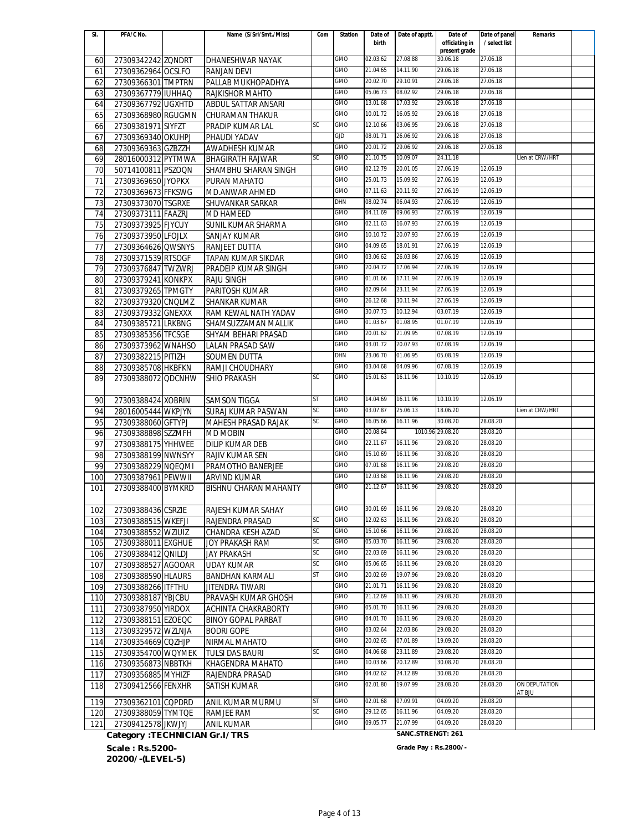| SI.             | PFA/C No.                     | Name (S/Sri/Smt./Miss)       | Com       | <b>Station</b> | Date of  | Date of apptt.    | Date of                         | Date of panel | Remarks                 |  |
|-----------------|-------------------------------|------------------------------|-----------|----------------|----------|-------------------|---------------------------------|---------------|-------------------------|--|
|                 |                               |                              |           |                | birth    |                   | officiating in<br>present grade | / select list |                         |  |
| 60              | 27309342242 ZQNDRT            | DHANESHWAR NAYAK             |           | GMO            | 02.03.62 | 27.08.88          | 30.06.18                        | 27.06.18      |                         |  |
| 61              | 27309362964 OCSLFO            | <b>RANJAN DEVI</b>           |           | GMO            | 21.04.65 | 14.11.90          | 29.06.18                        | 27.06.18      |                         |  |
| 62              | 27309366301 TMPTRN            | PALLAB MUKHOPADHYA           |           | GMO            | 20.02.70 | 29.10.91          | 29.06.18                        | 27.06.18      |                         |  |
| 63              | 27309367779 IUHHAQ            | <b>RAJKISHOR MAHTO</b>       |           | GMO            | 05.06.73 | 08.02.92          | 29.06.18                        | 27.06.18      |                         |  |
| 64              | 27309367792 UGXHTD            | ABDUL SATTAR ANSARI          |           | <b>GMO</b>     | 13.01.68 | 17.03.92          | 29.06.18                        | 27.06.18      |                         |  |
| 65              | 27309368980 RGUGMN            | CHURAMAN THAKUR              |           | <b>GMO</b>     | 10.01.72 | 16.05.92          | 29.06.18                        | 27.06.18      |                         |  |
| 66              | 27309381971 SIYFZT            | PRADIP KUMAR LAL             | SC        | <b>GMO</b>     | 12.10.66 | 03.06.95          | 29.06.18                        | 27.06.18      |                         |  |
| 67              | 27309369340 OKUHPJ            | PHAUDI YADAV                 |           | GJD            | 08.01.71 | 26.06.92          | 29.06.18                        | 27.06.18      |                         |  |
| 68              | 27309369363 GZBZZH            | AWADHESH KUMAR               |           | GMO            | 20.01.72 | 29.06.92          | 29.06.18                        | 27.06.18      |                         |  |
| 69              | 28016000312 PYTMWA            | <b>BHAGIRATH RAJWAR</b>      | SC        | GMO            | 21.10.75 | 10.09.07          | 24.11.18                        |               | Lien at CRW/HRT         |  |
| 70              | 50714100811 PSZOQN            | SHAMBHU SHARAN SINGH         |           | GMO            | 02.12.79 | 20.01.05          | 27.06.19                        | 12.06.19      |                         |  |
| 71              | 27309369650 JYOPKX            | PURAN MAHATO                 |           | GMO            | 25.01.73 | 15.09.92          | 27.06.19                        | 12.06.19      |                         |  |
| $\overline{72}$ | 27309369673 FFKSWG            | MD.ANWAR AHMED               |           | GMO            | 07.11.63 | 20.11.92          | 27.06.19                        | 12.06.19      |                         |  |
| 73              | 27309373070 TSGRXE            | SHUVANKAR SARKAR             |           | DHN            | 08.02.74 | 06.04.93          | 27.06.19                        | 12.06.19      |                         |  |
| 74              | 27309373111 FAAZRJ            | <b>MD HAMEED</b>             |           | <b>GMO</b>     | 04.11.69 | 09.06.93          | 27.06.19                        | 12.06.19      |                         |  |
| 75              | 27309373925 FJYCUY            | SUNIL KUMAR SHARMA           |           | GMO            | 02.11.63 | 16.07.93          | 27.06.19                        | 12.06.19      |                         |  |
| 76              | 27309373950 LFOJLX            | SANJAY KUMAR                 |           | GMO            | 10.10.72 | 20.07.93          | 27.06.19                        | 12.06.19      |                         |  |
| 77              | 27309364626 QWSNYS            | RANJEET DUTTA                |           | GMO            | 04.09.65 | 18.01.91          | 27.06.19                        | 12.06.19      |                         |  |
| 78              | 27309371539 RTSOGF            | <b>TAPAN KUMAR SIKDAR</b>    |           | GMO            | 03.06.62 | 26.03.86          | 27.06.19                        | 12.06.19      |                         |  |
| 79              | 27309376847 TWZWRJ            | PRADEIP KUMAR SINGH          |           | GMO            | 20.04.72 | 17.06.94          | 27.06.19                        | 12.06.19      |                         |  |
| 80              | 27309379241 KONKPX            | RAJU SINGH                   |           | GMO            | 01.01.66 | 17.11.94          | 27.06.19                        | 12.06.19      |                         |  |
| 81              | 27309379265 TPMGTY            | PARITOSH KUMAR               |           | GMO            | 02.09.64 | 23.11.94          | 27.06.19                        | 12.06.19      |                         |  |
| 82              | 27309379320 CNOLMZ            | <b>SHANKAR KUMAR</b>         |           | <b>GMO</b>     | 26.12.68 | 30.11.94          | 27.06.19                        | 12.06.19      |                         |  |
| 83              | 27309379332 GNEXXX            | RAM KEWAL NATH YADAV         |           | GMO            | 30.07.73 | 10.12.94          | 03.07.19                        | 12.06.19      |                         |  |
| 84              | 27309385721 LRKBNG            | SHAMSUZZAMAN MALLIK          |           | GMO            | 01.03.67 | 01.08.95          | 01.07.19                        | 12.06.19      |                         |  |
| 85              | 27309385356 TFCSGE            | SHYAM BEHARI PRASAD          |           | GMO            | 20.01.62 | 21.09.95          | 07.08.19                        | 12.06.19      |                         |  |
| 86              | 27309373962 WNAHSO            | <b>LALAN PRASAD SAW</b>      |           | GMO            | 03.01.72 | 20.07.93          | 07.08.19                        | 12.06.19      |                         |  |
| 87              | 27309382215 PITIZH            | <b>SOUMEN DUTTA</b>          |           | DHN            | 23.06.70 | 01.06.95          | 05.08.19                        | 12.06.19      |                         |  |
| 88              | 27309385708 HKBFKN            | RAMJI CHOUDHARY              |           | GMO            | 03.04.68 | 04.09.96          | 07.08.19                        | 12.06.19      |                         |  |
| 89              | 27309388072 QDCNHW            | SHIO PRAKASH                 | <b>SC</b> | <b>GMO</b>     | 15.01.63 | 16.11.96          | 10.10.19                        | 12.06.19      |                         |  |
|                 |                               |                              |           |                |          |                   |                                 |               |                         |  |
| 90              | 27309388424 XOBRIN            | <b>SAMSON TIGGA</b>          | ST        | <b>GMO</b>     | 14.04.69 | 16.11.96          | 10.10.19                        | 12.06.19      |                         |  |
| 94              | 28016005444 WKPJYN            | SURAJ KUMAR PASWAN           | SC        | GMO            | 03.07.87 | 25.06.13          | 18.06.20                        |               | Lien at CRW/HRT         |  |
| 95              | 27309388060 GFTYPJ            | MAHESH PRASAD RAJAK          | SC        | GMO            | 16.05.66 | 16.11.96          | 30.08.20                        | 28.08.20      |                         |  |
| 96              | 27309388898 SZZMFH            | <b>MD MOBIN</b>              |           | GMO            | 20.08.64 |                   | 1010.96 29.08.20                | 28.08.20      |                         |  |
| 97              | 27309388175 YHHWEE            | <b>DILIP KUMAR DEB</b>       |           | GMO            | 22.11.67 | 16.11.96          | 29.08.20                        | 28.08.20      |                         |  |
| 98              | 27309388199 NWNSYY            | RAJIV KUMAR SEN              |           | GMO            | 15.10.69 | 16.11.96          | 30.08.20                        | 28.08.20      |                         |  |
| 99              | 27309388229 NOEQMI            | PRAMOTHO BANERJEE            |           | GMO            | 07.01.68 | 16.11.96          | 29.08.20                        | 28.08.20      |                         |  |
| 100             | 27309387961 PEWWII            | <b>ARVIND KUMAR</b>          |           | <b>GMO</b>     | 12.03.68 | 16.11.96          | 29.08.20                        | 28.08.20      |                         |  |
| 101             | 27309388400 BYMKRD            | <b>BISHNU CHARAN MAHANTY</b> |           | <b>GMO</b>     | 21.12.67 | 16.11.96          | 29.08.20                        | 28.08.20      |                         |  |
|                 |                               |                              |           |                |          |                   |                                 |               |                         |  |
| 102             | 27309388436 CSRZIE            | RAJESH KUMAR SAHAY           |           | GMO            | 30.01.69 | 16.11.96          | 29.08.20                        | 28.08.20      |                         |  |
| 103             | 27309388515 WKEFJI            | RAJENDRA PRASAD              | SC        | GMO            | 12.02.63 | 16.11.96          | 29.08.20                        | 28.08.20      |                         |  |
| 104             | 27309388552 WZIUIZ            | CHANDRA KESH AZAD            | SC        | GMO            | 15.10.66 | 16.11.96          | 29.08.20                        | 28.08.20      |                         |  |
| 105             | 27309388011 EXGHUE            | JOY PRAKASH RAM              | SC        | GMO            | 05.03.70 | 16.11.96          | 29.08.20                        | 28.08.20      |                         |  |
| 106             | 27309388412 ONILDJ            | <b>JAY PRAKASH</b>           | SC        | GMO            | 22.03.69 | 16.11.96          | 29.08.20                        | 28.08.20      |                         |  |
| 107             | 27309388527 AGOOAR            | <b>UDAY KUMAR</b>            | SC        | GMO            | 05.06.65 | 16.11.96          | 29.08.20                        | 28.08.20      |                         |  |
| 108             | 27309388590 HLAURS            | BANDHAN KARMALI              | ST        | GMO            | 20.02.69 | 19.07.96          | 29.08.20                        | 28.08.20      |                         |  |
| 109             | 27309388266 ITFTHU            | JITENDRA TIWARI              |           | GMO            | 21.01.71 | 16.11.96          | 29.08.20                        | 28.08.20      |                         |  |
| 110             | 27309388187 YBJCBU            | PRAVASH KUMAR GHOSH          |           | GMO            | 21.12.69 | 16.11.96          | 29.08.20                        | 28.08.20      |                         |  |
| 111             | 27309387950 YIRDOX            | ACHINTA CHAKRABORTY          |           | GMO            | 05.01.70 | 16.11.96          | 29.08.20                        | 28.08.20      |                         |  |
| 112             | 27309388151 EZOEQC            | <b>BINOY GOPAL PARBAT</b>    |           | GMO            | 04.01.70 | 16.11.96          | 29.08.20                        | 28.08.20      |                         |  |
| 113             | 27309329572 WZLNJA            | <b>BODRI GOPE</b>            |           | GMO            | 03.02.64 | 22.03.86          | 29.08.20                        | 28.08.20      |                         |  |
| 114             | 27309354669 CQZHJP            | NIRMAL MAHATO                |           | GMO            | 20.02.65 | 07.01.89          | 19.09.20                        | 28.08.20      |                         |  |
| 115             | 27309354700 WQYMEK            | TULSI DAS BAURI              | SC        | GMO            | 04.06.68 | 23.11.89          | 29.08.20                        | 28.08.20      |                         |  |
| 116             | 27309356873 NBBTKH            | KHAGENDRA MAHATO             |           | GMO            | 10.03.66 | 20.12.89          | 30.08.20                        | 28.08.20      |                         |  |
| 117             | 27309356885 MYHIZF            | RAJENDRA PRASAD              |           | GMO            | 04.02.62 | 24.12.89          | 30.08.20                        | 28.08.20      |                         |  |
| 118             | 27309412566 FENXHR            | SATISH KUMAR                 |           | GMO            | 02.01.80 | 19.07.99          | 28.08.20                        | 28.08.20      | ON DEPUTATION<br>AT BJU |  |
| 119             | 27309362101 CQPDRD            | ANIL KUMAR MURMU             | <b>ST</b> | GMO            | 02.01.68 | 07.09.91          | 04.09.20                        | 28.08.20      |                         |  |
| 120             | 27309388059 TYMTQE            | RAMJEE RAM                   | SC        | GMO            | 29.12.65 | 16.11.96          | 04.09.20                        | 28.08.20      |                         |  |
| 121             | 27309412578 JKWJYJ            | <b>ANIL KUMAR</b>            |           | GMO            | 09.05.77 | 21.07.99          | 04.09.20                        | 28.08.20      |                         |  |
|                 | Category: TECHNICIAN Gr.I/TRS |                              |           |                |          | SANC.STRENGT: 261 |                                 |               |                         |  |

**Scale : Rs.5200- Grade Pay : Rs.2800/- 20200/-(LEVEL-5)**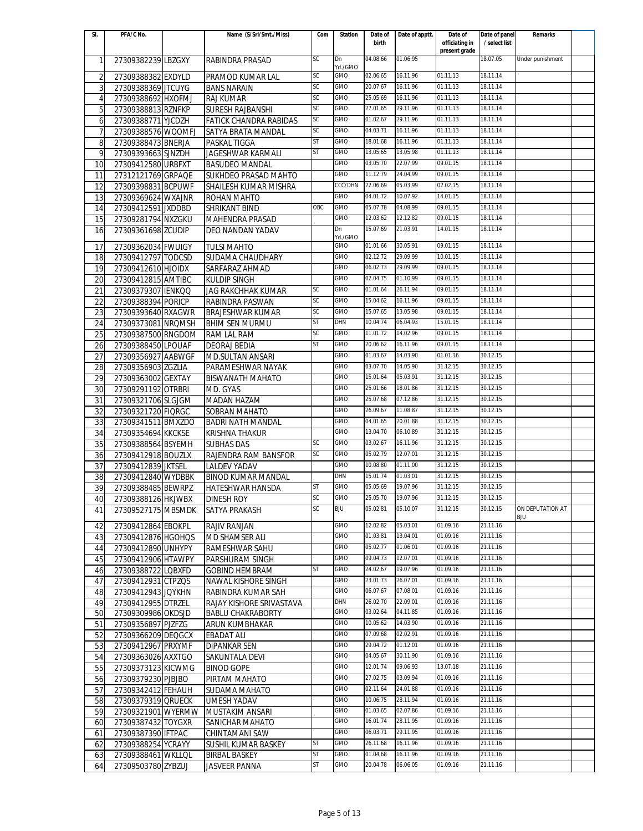| SI.             | PFA/C No.          | Name (S/Sri/Smt./Miss)        | Com       | <b>Station</b> | Date of  | Date of apptt. | Date of                         | Date of panel | Remarks          |  |
|-----------------|--------------------|-------------------------------|-----------|----------------|----------|----------------|---------------------------------|---------------|------------------|--|
|                 |                    |                               |           |                | birth    |                | officiating in<br>present grade | / select list |                  |  |
| $\mathbf{1}$    | 27309382239 LBZGXY | RABINDRA PRASAD               | SC        | Dn             | 04.08.66 | 01.06.95       |                                 | 18.07.05      | Under punishment |  |
|                 |                    |                               |           | Yd./GMO        |          |                |                                 |               |                  |  |
| $\overline{2}$  | 27309388382 EXDYLD | PRAMOD KUMAR LAL              | <b>SC</b> | GMO            | 02.06.65 | 16.11.96       | 01.11.13                        | 18.11.14      |                  |  |
| 3               | 27309388369 JTCUYG | <b>BANS NARAIN</b>            | SC        | GMO            | 20.07.67 | 16.11.96       | 01.11.13                        | 18.11.14      |                  |  |
| $\overline{4}$  | 27309388692 HXOFMJ | <b>RAJ KUMAR</b>              | SC        | <b>GMO</b>     | 25.05.69 | 16.11.96       | 01.11.13                        | 18.11.14      |                  |  |
| 5               | 27309388813 RZNFKP | <b>SURESH RAJBANSHI</b>       | SC        | <b>GMO</b>     | 27.01.65 | 29.11.96       | 01.11.13                        | 18.11.14      |                  |  |
| 6               | 27309388771 YJCDZH | <b>FATICK CHANDRA RABIDAS</b> | SC        | GMO            | 01.02.67 | 29.11.96       | 01.11.13                        | 18.11.14      |                  |  |
| 7               | 27309388576 WOOMFJ | SATYA BRATA MANDAL            | SC        | GMO            | 04.03.71 | 16.11.96       | 01.11.13                        | 18.11.14      |                  |  |
| 8               | 27309388473 BNERJA | PASKAL TIGGA                  | ST        | GMO            | 18.01.68 | 16.11.96       | 01.11.13                        | 18.11.14      |                  |  |
| 9               | 27309393663 SJNZDH | <b>JAGESHWAR KARMALI</b>      | <b>ST</b> | GMO            | 13.05.65 | 13.05.98       | 01.11.13                        | 18.11.14      |                  |  |
| 10              | 27309412580 URBFXT | <b>BASUDEO MANDAL</b>         |           | GMO            | 03.05.70 | 22.07.99       | 09.01.15                        | 18.11.14      |                  |  |
| 11              | 27312121769 GRPAQE | SUKHDEO PRASAD MAHTO          |           | GMO            | 11.12.79 | 24.04.99       | 09.01.15                        | 18.11.14      |                  |  |
| 12              | 27309398831 BCPUWF | SHAILESH KUMAR MISHRA         |           | <b>CCC/DHN</b> | 22.06.69 | 05.03.99       | 02.02.15                        | 18.11.14      |                  |  |
| 13              | 27309369624 WXAJNR | ROHAN MAHTO                   |           | GMO            | 04.01.72 | 10.07.92       | 14.01.15                        | 18.11.14      |                  |  |
| 14              | 27309412591 JXDDBD | <b>SHRIKANT BIND</b>          | OBC       | <b>GMO</b>     | 05.07.78 | 04.08.99       | 09.01.15                        | 18.11.14      |                  |  |
| 15              | 27309281794 NXZGKU | <b>MAHENDRA PRASAD</b>        |           | GMO            | 12.03.62 | 12.12.82       | 09.01.15                        | 18.11.14      |                  |  |
| 16              | 27309361698 ZCUDIP | DEO NANDAN YADAV              |           | Dn             | 15.07.69 | 21.03.91       | 14.01.15                        | 18.11.14      |                  |  |
|                 |                    |                               |           | Yd./GMO        |          |                |                                 |               |                  |  |
| 17              | 27309362034 FWUIGY | <b>TULSI MAHTO</b>            |           | GMO            | 01.01.66 | 30.05.91       | 09.01.15                        | 18.11.14      |                  |  |
| 18              | 27309412797 TODCSD | <b>SUDAMA CHAUDHARY</b>       |           | GMO            | 02.12.72 | 29.09.99       | 10.01.15                        | 18.11.14      |                  |  |
| 19              | 27309412610 HJOIDX | SARFARAZ AHMAD                |           | <b>GMO</b>     | 06.02.73 | 29.09.99       | 09.01.15                        | 18.11.14      |                  |  |
| 20              | 27309412815 AMTIBC | <b>KULDIP SINGH</b>           |           | <b>GMO</b>     | 02.04.75 | 01.10.99       | 09.01.15                        | 18.11.14      |                  |  |
| $\overline{21}$ | 27309379307 IENKQQ | <b>JAG RAKCHHAK KUMAR</b>     | SC        | <b>GMO</b>     | 01.01.64 | 26.11.94       | 09.01.15                        | 18.11.14      |                  |  |
| 22              | 27309388394 PORICP | RABINDRA PASWAN               | SC        | GMO            | 15.04.62 | 16.11.96       | 09.01.15                        | 18.11.14      |                  |  |
| 23              | 27309393640 RXAGWR | <b>BRAJESHWAR KUMAR</b>       | SC        | GMO            | 15.07.65 | 13.05.98       | 09.01.15                        | 18.11.14      |                  |  |
| 24              | 27309373081 NRQMSH | <b>BHIM SEN MURMU</b>         | <b>ST</b> | DHN            | 10.04.74 | 06.04.93       | 15.01.15                        | 18.11.14      |                  |  |
| 25              | 27309387500 RNGDOM | RAM LAL RAM                   | <b>SC</b> | GMO            | 11.01.72 | 14.02.96       | 09.01.15                        | 18.11.14      |                  |  |
| 26              | 27309388450 LPOUAF | <b>DEORAJ BEDIA</b>           | ST        | GMO            | 20.06.62 | 16.11.96       | 09.01.15                        | 18.11.14      |                  |  |
| 27              | 27309356927 AABWGF | <b>MD.SULTAN ANSARI</b>       |           | <b>GMO</b>     | 01.03.67 | 14.03.90       | 01.01.16                        | 30.12.15      |                  |  |
| 28              | 27309356903 ZGZLIA | PARAMESHWAR NAYAK             |           | <b>GMO</b>     | 03.07.70 | 14.05.90       | 31.12.15                        | 30.12.15      |                  |  |
| 29              | 27309363002 GEXTAY | <b>BISWANATH MAHATO</b>       |           | <b>GMO</b>     | 15.01.64 | 05.03.91       | 31.12.15                        | 30.12.15      |                  |  |
| 30              | 27309291192 OTRBRI | MD. GYAS                      |           | GMO            | 25.01.66 | 18.01.86       | 31.12.15                        | 30.12.15      |                  |  |
| 31              | 27309321706 SLGJGM | MADAN HAZAM                   |           | GMO            | 25.07.68 | 07.12.86       | 31.12.15                        | 30.12.15      |                  |  |
| 32              | 27309321720 FIQRGC | <b>SOBRAN MAHATO</b>          |           | GMO            | 26.09.67 | 11.08.87       | 31.12.15                        | 30.12.15      |                  |  |
| 33              | 27309341511 BMXZDO | <b>BADRI NATH MANDAL</b>      |           | GMO            | 04.01.65 | 20.01.88       | 31.12.15                        | 30.12.15      |                  |  |
| 34              | 27309354694 KKCKSE | <b>KRISHNA THAKUR</b>         |           | GMO            | 13.04.70 | 06.10.89       | 31.12.15                        | 30.12.15      |                  |  |
| 35              | 27309388564 BSYEMH | <b>SUBHAS DAS</b>             | SC        | GMO            | 03.02.67 | 16.11.96       | 31.12.15                        | 30.12.15      |                  |  |
| 36              | 27309412918 BOUZLX | RAJENDRA RAM BANSFOR          | SC        | GMO            | 05.02.79 | 12.07.01       | 31.12.15                        | 30.12.15      |                  |  |
| 37              | 27309412839 JKTSEL | <b>LALDEV YADAV</b>           |           | <b>GMO</b>     | 10.08.80 | 01.11.00       | 31.12.15                        | 30.12.15      |                  |  |
| 38              | 27309412840 WYDBBK | <b>BINOD KUMAR MANDAL</b>     |           | DHN            | 15.01.74 | 01.03.01       | 31.12.15                        | 30.12.15      |                  |  |
| 39              | 27309388485 BEWRPZ | <b>HATESHWAR HANSDA</b>       | <b>ST</b> | GMO            | 05.05.69 | 19.07.96       | 31.12.15                        | 30.12.15      |                  |  |
| 40              | 27309388126 HKJWBX | <b>DINESH ROY</b>             | <b>SC</b> | <b>GMO</b>     | 25.05.70 | 19.07.96       | 31.12.15                        | 30.12.15      |                  |  |
| 41              | 27309527175 MBSMDK | <b>SATYA PRAKASH</b>          | SC        | BJU            | 05.02.81 | 05.10.07       | 31.12.15                        | 30.12.15      | ON DEPUTATION AT |  |
|                 |                    |                               |           |                |          |                |                                 |               | BJU              |  |
| 42              | 27309412864 EBOKPL | <b>RAJIV RANJAN</b>           |           | <b>GMO</b>     | 12.02.82 | 05.03.01       | 01.09.16                        | 21.11.16      |                  |  |
| 43              | 27309412876 HGOHQS | MD SHAMSER ALI                |           | <b>GMO</b>     | 01.03.81 | 13.04.01       | 01.09.16                        | 21.11.16      |                  |  |
| 44              | 27309412890 UNHYPY | RAMESHWAR SAHU                |           | <b>GMO</b>     | 05.02.77 | 01.06.01       | 01.09.16                        | 21.11.16      |                  |  |
| 45              | 27309412906 HTAWPY | PARSHURAM SINGH               |           | GMO            | 09.04.73 | 12.07.01       | 01.09.16                        | 21.11.16      |                  |  |
| 46              | 27309388722 LOBXFD | <b>GOBIND HEMBRAM</b>         | ST        | GMO            | 24.02.67 | 19.07.96       | 01.09.16                        | 21.11.16      |                  |  |
| 47              | 27309412931 CTPZQS | <b>NAWAL KISHORE SINGH</b>    |           | GMO            | 23.01.73 | 26.07.01       | 01.09.16                        | 21.11.16      |                  |  |
| 48              | 27309412943 JQYKHN | RABINDRA KUMAR SAH            |           | GMO            | 06.07.67 | 07.08.01       | 01.09.16                        | 21.11.16      |                  |  |
| 49              | 27309412955 DTRZEL | RAJAY KISHORE SRIVASTAVA      |           | DHN            | 26.02.70 | 22.09.01       | 01.09.16                        | 21.11.16      |                  |  |
| 50              | 27309309986 OKDSJD | <b>BABLU CHAKRABORTY</b>      |           | GMO            | 03.02.64 | 04.11.85       | 01.09.16                        | 21.11.16      |                  |  |
| 51              | 27309356897 PJZFZG | ARUN KUMBHAKAR                |           | GMO            | 10.05.62 | 14.03.90       | 01.09.16                        | 21.11.16      |                  |  |
| 52              | 27309366209 DEQGCX | <b>EBADAT ALI</b>             |           | GMO            | 07.09.68 | 02.02.91       | 01.09.16                        | 21.11.16      |                  |  |
| 53              | 27309412967 PRXYMF | <b>DIPANKAR SEN</b>           |           | GMO            | 29.04.72 | 01.12.01       | 01.09.16                        | 21.11.16      |                  |  |
| 54              | 27309363026 AXXTGO | SAKUNTALA DEVI                |           | GMO            | 04.05.67 | 30.11.90       | 01.09.16                        | 21.11.16      |                  |  |
| 55              | 27309373123 KICWMG | <b>BINOD GOPE</b>             |           | GMO            | 12.01.74 | 09.06.93       | 13.07.18                        | 21.11.16      |                  |  |
| 56              | 27309379230 PJBJBO | PIRTAM MAHATO                 |           | GMO            | 27.02.75 | 03.09.94       | 01.09.16                        | 21.11.16      |                  |  |
| 57              | 27309342412 FEHAUH | SUDAMA MAHATO                 |           | GMO            | 02.11.64 | 24.01.88       | 01.09.16                        | 21.11.16      |                  |  |
| 58              | 27309379319 QRUECK | <b>UMESH YADAV</b>            |           | GMO            | 10.06.75 | 28.11.94       | 01.09.16                        | 21.11.16      |                  |  |
| 59              | 27309321901 WYERMW | MUSTAKIM ANSARI               |           | GMO            | 01.03.65 | 02.07.86       | 01.09.16                        | 21.11.16      |                  |  |
| 60              | 27309387432 TOYGXR | SANICHAR MAHATO               |           | GMO            | 16.01.74 | 28.11.95       | 01.09.16                        | 21.11.16      |                  |  |
| 61              | 27309387390 IFTPAC | CHINTAMANI SAW                |           | GMO            | 06.03.71 | 29.11.95       | 01.09.16                        | 21.11.16      |                  |  |
| 62              | 27309388254 YCRAYY | SUSHIL KUMAR BASKEY           | ST        | GMO            | 26.11.68 | 16.11.96       | 01.09.16                        | 21.11.16      |                  |  |
| 63              | 27309388461 WKLLQL | <b>BIRBAL BASKEY</b>          | ST        | GMO            | 01.04.68 | 16.11.96       | 01.09.16                        | 21.11.16      |                  |  |
| 64              | 27309503780 ZYBZUJ | <b>JASVEER PANNA</b>          | ST        | GMO            | 20.04.78 | 06.06.05       | 01.09.16                        | 21.11.16      |                  |  |
|                 |                    |                               |           |                |          |                |                                 |               |                  |  |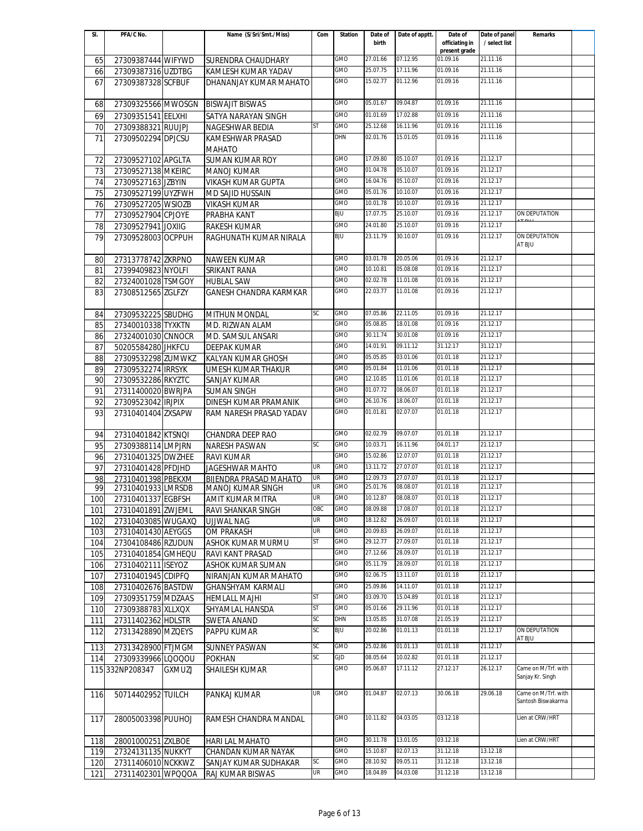| SI. | PFA/C No.          |               | Name (S/Sri/Smt./Miss)        | Com       | <b>Station</b> | Date of              | Date of apptt.       | Date of                         | Date of panel        | Remarks              |  |
|-----|--------------------|---------------|-------------------------------|-----------|----------------|----------------------|----------------------|---------------------------------|----------------------|----------------------|--|
|     |                    |               |                               |           |                | birth                |                      | officiating in<br>present grade | / select list        |                      |  |
| 65  | 27309387444 WIFYWD |               | SURENDRA CHAUDHARY            |           | GMO            | 27.01.66             | 07.12.95             | 01.09.16                        | 21.11.16             |                      |  |
| 66  | 27309387316 UZDTBG |               | KAMLESH KUMAR YADAV           |           | GMO            | 25.07.75             | 17.11.96             | 01.09.16                        | 21.11.16             |                      |  |
| 67  | 27309387328 SCFBUF |               | DHANANJAY KUMAR MAHATO        |           | GMO            | 15.02.77             | 01.12.96             | 01.09.16                        | 21.11.16             |                      |  |
|     |                    |               |                               |           |                |                      |                      |                                 |                      |                      |  |
| 68  | 27309325566 MWOSGN |               | <b>BISWAJIT BISWAS</b>        |           | <b>GMO</b>     | 05.01.67             | 09.04.87             | 01.09.16                        | 21.11.16             |                      |  |
|     |                    |               |                               |           | GMO            | 01.01.69             | 17.02.88             | 01.09.16                        | 21.11.16             |                      |  |
| 69  | 27309351541 EELXHI |               | SATYA NARAYAN SINGH           | ST        | <b>GMO</b>     | 25.12.68             | 16.11.96             | 01.09.16                        | 21.11.16             |                      |  |
| 70  | 27309388321 RUUJPJ |               | NAGESHWAR BEDIA               |           |                |                      |                      |                                 |                      |                      |  |
| 71  | 27309502294 DPJCSU |               | KAMESHWAR PRASAD              |           | DHN            | 02.01.76             | 15.01.05             | 01.09.16                        | 21.11.16             |                      |  |
|     |                    |               | <b>MAHATO</b>                 |           |                |                      |                      |                                 |                      |                      |  |
| 72  | 27309527102 APGLTA |               | SUMAN KUMAR ROY               |           | GMO            | 17.09.80             | 05.10.07             | 01.09.16                        | 21.12.17             |                      |  |
| 73  | 27309527138 MKEIRC |               | <b>MANOJ KUMAR</b>            |           | GMO            | 01.04.78             | 05.10.07             | 01.09.16                        | 21.12.17             |                      |  |
| 74  | 27309527163 JZBYIN |               | <b>VIKASH KUMAR GUPTA</b>     |           | GMO            | 16.04.76             | 05.10.07             | 01.09.16                        | 21.12.17             |                      |  |
| 75  | 27309527199 UYZFWH |               | MD SAJID HUSSAIN              |           | <b>GMO</b>     | 05.01.76             | 10.10.07             | 01.09.16                        | 21.12.17             |                      |  |
| 76  | 27309527205 WSIOZB |               | <b>VIKASH KUMAR</b>           |           | GMO            | 10.01.78             | 10.10.07             | 01.09.16                        | 21.12.17             |                      |  |
| 77  | 27309527904 CPJOYE |               | PRABHA KANT                   |           | BJU            | 17.07.75             | 25.10.07             | 01.09.16                        | 21.12.17             | ON DEPUTATION        |  |
| 78  | 27309527941 JOXIIG |               | <b>RAKESH KUMAR</b>           |           | GMO            | 24.01.80             | 25.10.07             | 01.09.16                        | 21.12.17             |                      |  |
| 79  | 27309528003 OCPPUH |               | RAGHUNATH KUMAR NIRALA        |           | <b>BJU</b>     | 23.11.79             | 30.10.07             | 01.09.16                        | 21.12.17             | <b>ON DEPUTATION</b> |  |
|     |                    |               |                               |           |                |                      |                      |                                 |                      | AT BJU               |  |
| 80  | 27313778742 ZKRPNO |               | NAWEEN KUMAR                  |           | GMO            | 03.01.78             | 20.05.06             | 01.09.16                        | 21.12.17             |                      |  |
| 81  | 27399409823 NYOLFI |               | SRIKANT RANA                  |           | GMO            | 10.10.81             | 05.08.08             | 01.09.16                        | 21.12.17             |                      |  |
| 82  | 27324001028 TSMGOY |               | <b>HUBLAL SAW</b>             |           | GMO            | 02.02.78             | 11.01.08             | 01.09.16                        | 21.12.17             |                      |  |
| 83  | 27308512565 ZGLFZY |               | <b>GANESH CHANDRA KARMKAR</b> |           | GMO            | 22.03.77             | 11.01.08             | 01.09.16                        | 21.12.17             |                      |  |
|     |                    |               |                               |           |                |                      |                      |                                 |                      |                      |  |
| 84  | 27309532225 SBUDHG |               | <b>MITHUN MONDAL</b>          | SС        | GMO            | 07.05.86             | 22.11.05             | 01.09.16                        | 21.12.17             |                      |  |
| 85  | 27340010338 TYXKTN |               | MD. RIZWAN ALAM               |           | <b>GMO</b>     | 05.08.85             | 18.01.08             | 01.09.16                        | 21.12.17             |                      |  |
| 86  | 27324001030 CNNOCR |               | MD. SAMSUL ANSARI             |           | GMO            | 30.11.74             | 30.01.08             | 01.09.16                        | 21.12.17             |                      |  |
| 87  | 50205584280 JHKFCU |               | <b>DEEPAK KUMAR</b>           |           | GMO            | 14.01.91             | 09.11.12             | 31.12.17                        | 31.12.17             |                      |  |
| 88  | 27309532298 ZUMWKZ |               | KALYAN KUMAR GHOSH            |           | GMO            | 05.05.85             | 03.01.06             | 01.01.18                        | 21.12.17             |                      |  |
| 89  | 27309532274 IRRSYK |               | UMESH KUMAR THAKUR            |           | GMO            | 05.01.84             | 11.01.06             | 01.01.18                        | 21.12.17             |                      |  |
| 90  | 27309532286 RKYZTC |               | SANJAY KUMAR                  |           | GMO            | 12.10.85             | 11.01.06             | 01.01.18                        | 21.12.17             |                      |  |
| 91  | 27311400020 BWRJPA |               | <b>SUMAN SINGH</b>            |           | <b>GMO</b>     | 01.07.72             | 08.06.07             | 01.01.18                        | 21.12.17             |                      |  |
| 92  | 27309523042 IRJPIX |               | DINESH KUMAR PRAMANIK         |           | <b>GMO</b>     | 26.10.76             | 18.06.07             | 01.01.18                        | 21.12.17             |                      |  |
| 93  | 27310401404 ZXSAPW |               |                               |           | <b>GMO</b>     | 01.01.81             | 02.07.07             | 01.01.18                        | 21.12.17             |                      |  |
|     |                    |               | RAM NARESH PRASAD YADAV       |           |                |                      |                      |                                 |                      |                      |  |
|     |                    |               |                               |           | GMO            | 02.02.79             | 09.07.07             | 01.01.18                        | 21.12.17             |                      |  |
| 94  | 27310401842 KTSNQI |               | CHANDRA DEEP RAO              | SC        | GMO            | 10.03.71             | 16.11.96             | 04.01.17                        | 21.12.17             |                      |  |
| 95  | 27309388114 LMPJRN |               | <b>NARESH PASWAN</b>          |           | GMO            |                      |                      | 01.01.18                        |                      |                      |  |
| 96  | 27310401325 DWZHEE |               | <b>RAVI KUMAR</b>             |           |                | 15.02.86             | 12.07.07             |                                 | 21.12.17<br>21.12.17 |                      |  |
| 97  | 27310401428 PFDJHD |               | JAGESHWAR MAHTO               | UR        | GMO            | 13.11.72             | 27.07.07             | 01.01.18                        |                      |                      |  |
| 98  | 27310401398 PBEKXM |               | <b>BIJENDRA PRASAD MAHATO</b> | UR<br>UR  | GMO<br>GMO     | 12.09.73<br>25.01.76 | 27.07.07<br>08.08.07 | 01.01.18<br>01.01.18            | 21.12.17<br>21.12.17 |                      |  |
| 99  | 27310401933 LMRSDB |               | <b>MANOJ KUMAR SINGH</b>      | <b>UR</b> | <b>GMO</b>     | 10.12.87             | 08.08.07             | 01.01.18                        | 21.12.17             |                      |  |
| 100 | 27310401337 EGBFSH |               | AMIT KUMAR MITRA              | OBC       | GMO            | 08.09.88             | 17.08.07             | 01.01.18                        | 21.12.17             |                      |  |
| 101 | 27310401891 ZWJEML |               | RAVI SHANKAR SINGH            |           |                |                      |                      |                                 |                      |                      |  |
| 102 | 27310403085 WUGAXQ |               | UJJWAL NAG                    | UR        | <b>GMO</b>     | 18.12.82             | 26.09.07             | 01.01.18                        | 21.12.17<br>21.12.17 |                      |  |
| 103 | 27310401430 AEYGGS |               | <b>OM PRAKASH</b>             | UR        | GMO            | 20.09.83             | 26.09.07             | 01.01.18                        |                      |                      |  |
| 104 | 27304108486 RZUDUN |               | <b>ASHOK KUMAR MURMU</b>      | ST        | GMO            | 29.12.77             | 27.09.07             | 01.01.18                        | 21.12.17             |                      |  |
| 105 | 27310401854 GMHEQU |               | RAVI KANT PRASAD              |           | GMO            | 27.12.66             | 28.09.07             | 01.01.18                        | 21.12.17             |                      |  |
| 106 | 27310402111 ISEYOZ |               | ASHOK KUMAR SUMAN             |           | GMO            | 05.11.79             | 28.09.07             | 01.01.18                        | 21.12.17             |                      |  |
| 107 | 27310401945 CDIPFQ |               | NIRANJAN KUMAR MAHATO         |           | GMO            | 02.06.75             | 13.11.07             | 01.01.18                        | 21.12.17             |                      |  |
| 108 | 27310402676 BASTDW |               | <b>GHANSHYAM KARMALI</b>      |           | GMO            | 25.09.86             | 14.11.07             | 01.01.18                        | 21.12.17             |                      |  |
| 109 | 27309351759 MDZAAS |               | <b>HEMLALL MAJHI</b>          | ST        | <b>GMO</b>     | 03.09.70             | 15.04.89             | 01.01.18                        | 21.12.17             |                      |  |
| 110 | 27309388783 XLLXQX |               | SHYAMLAL HANSDA               | ST        | <b>GMO</b>     | 05.01.66             | 29.11.96             | 01.01.18                        | 21.12.17             |                      |  |
| 111 | 27311402362 HDLSTR |               | <b>SWETA ANAND</b>            | SC        | DHN            | 13.05.85             | 31.07.08             | 21.05.19                        | 21.12.17             |                      |  |
| 112 | 27313428890 MZQEYS |               | PAPPU KUMAR                   | SC        | <b>BJU</b>     | 20.02.86             | 01.01.13             | 01.01.18                        | 21.12.17             | ON DEPUTATION        |  |
|     |                    |               |                               | SC        | GMO            | 25.02.86             | 01.01.13             | 01.01.18                        | 21.12.17             | AT BJU               |  |
| 113 | 27313428900 FTJMGM |               | <b>SUNNEY PASWAN</b>          | SC        | GJD            | 08.05.64             | 10.02.82             | 01.01.18                        | 21.12.17             |                      |  |
| 114 | 27309339966 LQOQOU |               | <b>POKHAN</b>                 |           | GMO            | 05.06.87             | 17.11.12             | 27.12.17                        | 26.12.17             | Came on M/Trf. with  |  |
|     | 115 332NP208347    | <b>GXMUZJ</b> | <b>SHAILESH KUMAR</b>         |           |                |                      |                      |                                 |                      | Sanjay Kr. Singh     |  |
|     |                    |               |                               |           |                |                      |                      |                                 |                      |                      |  |
| 116 | 50714402952 TUILCH |               | PANKAJ KUMAR                  | UR        | GMO            | 01.04.87             | 02.07.13             | 30.06.18                        | 29.06.18             | Came on M/Trf. with  |  |
|     |                    |               |                               |           |                |                      |                      |                                 |                      | Santosh Biswakarma   |  |
| 117 | 28005003398 PUUHOJ |               | RAMESH CHANDRA MANDAL         |           | GMO            | 10.11.82             | 04.03.05             | 03.12.18                        |                      | Lien at CRW/HRT      |  |
|     |                    |               |                               |           |                |                      |                      |                                 |                      |                      |  |
| 118 | 28001000251 ZXLBOE |               | HARI LAL MAHATO               |           | GMO            | 30.11.78             | 13.01.05             | 03.12.18                        |                      | Lien at CRW/HRT      |  |
| 119 | 27324131135 NUKKYT |               | CHANDAN KUMAR NAYAK           |           | GMO            | 15.10.87             | 02.07.13             | 31.12.18                        | 13.12.18             |                      |  |
| 120 | 27311406010 NCKKWZ |               | SANJAY KUMAR SUDHAKAR         | <b>SC</b> | GMO            | 28.10.92             | 09.05.11             | 31.12.18                        | 13.12.18             |                      |  |
| 121 | 27311402301 WPQQOA |               | RAJ KUMAR BISWAS              | UR        | GMO            | 18.04.89             | 04.03.08             | 31.12.18                        | 13.12.18             |                      |  |
|     |                    |               |                               |           |                |                      |                      |                                 |                      |                      |  |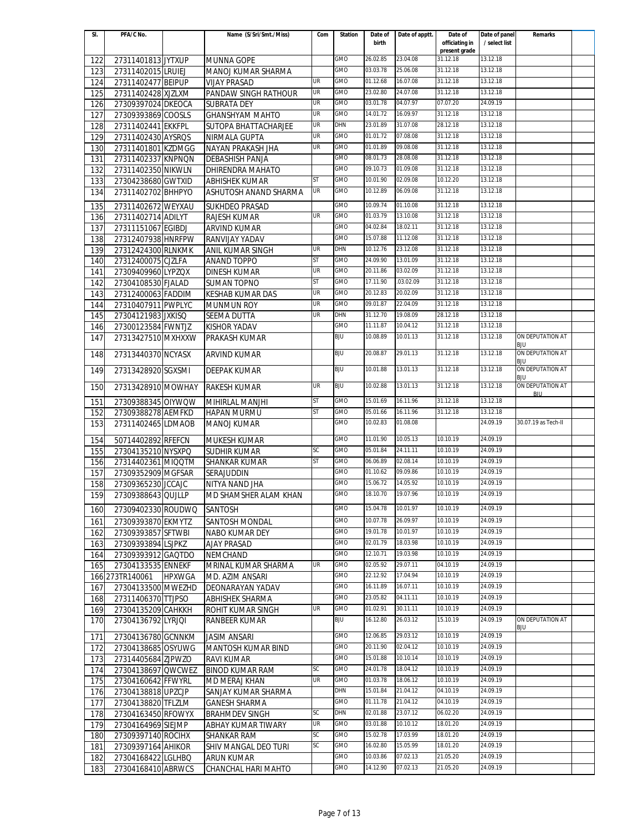| SI. | PFA/C No.          |               | Name (S/Sri/Smt./Miss)  | Com       | <b>Station</b> | Date of              | Date of apptt. | Date of                         | Date of panel | Remarks                        |  |
|-----|--------------------|---------------|-------------------------|-----------|----------------|----------------------|----------------|---------------------------------|---------------|--------------------------------|--|
|     |                    |               |                         |           |                | birth                |                | officiating in<br>present grade | / select list |                                |  |
| 122 | 27311401813 JYTXUP |               | <b>MUNNA GOPE</b>       |           | GMO            | 26.02.85             | 23.04.08       | 31.12.18                        | 13.12.18      |                                |  |
| 123 | 27311402015 LRUIEJ |               | MANOJ KUMAR SHARMA      |           | GMO            | 03.03.78             | 25.06.08       | 31.12.18                        | 13.12.18      |                                |  |
| 124 | 27311402477 BEIPUP |               | <b>VIJAY PRASAD</b>     | UR        | GMO            | 01.12.68             | 16.07.08       | 31.12.18                        | 13.12.18      |                                |  |
| 125 | 27311402428 XJZLXM |               | PANDAW SINGH RATHOUR    | UR        | GMO            | 23.02.80             | 24.07.08       | 31.12.18                        | 13.12.18      |                                |  |
| 126 | 27309397024 DKEOCA |               | <b>SUBRATA DEY</b>      | <b>UR</b> | <b>GMO</b>     | 03.01.78             | 04.07.97       | 07.07.20                        | 24.09.19      |                                |  |
| 127 | 27309393869 COOSLS |               | <b>GHANSHYAM MAHTO</b>  | UR        | <b>GMO</b>     | 14.01.72             | 16.09.97       | 31.12.18                        | 13.12.18      |                                |  |
| 128 | 27311402441 EKKFPL |               | SUTOPA BHATTACHARJEE    | UR        | DHN            | 23.01.89             | 31.07.08       | 28.12.18                        | 13.12.18      |                                |  |
| 129 | 27311402430 AYSROS |               | NIRMALA GUPTA           | UR        | GMO            | 01.01.72             | 07.08.08       | 31.12.18                        | 13.12.18      |                                |  |
| 130 | 27311401801 KZDMGG |               | NAYAN PRAKASH JHA       | <b>UR</b> | GMO            | 01.01.89             | 09.08.08       | 31.12.18                        | 13.12.18      |                                |  |
| 131 | 27311402337 KNPNON |               | <b>DEBASHISH PANJA</b>  |           | GMO            | 08.01.73             | 28.08.08       | 31.12.18                        | 13.12.18      |                                |  |
| 132 | 27311402350 NIKWLN |               | <b>DHIRENDRA MAHATO</b> |           | GMO            | 09.10.73             | 01.09.08       | 31.12.18                        | 13.12.18      |                                |  |
| 133 | 27304238680 GWTXID |               | ABHISHEK KUMAR          | <b>ST</b> | GMO            | 10.01.90             | 02.09.08       | 10.12.20                        | 13.12.18      |                                |  |
| 134 | 27311402702 BHHPYO |               | ASHUTOSH ANAND SHARMA   | UR        | GMO            | 10.12.89             | 06.09.08       | 31.12.18                        | 13.12.18      |                                |  |
|     |                    |               |                         |           |                |                      |                |                                 |               |                                |  |
| 135 | 27311402672 WEYXAU |               | <b>SUKHDEO PRASAD</b>   |           | GMO            | 10.09.74             | 01.10.08       | 31.12.18                        | 13.12.18      |                                |  |
| 136 | 27311402714 ADILYT |               | <b>RAJESH KUMAR</b>     | UR        | GMO            | 01.03.79             | 13.10.08       | 31.12.18                        | 13.12.18      |                                |  |
| 137 | 27311151067 EGIBDJ |               | <b>ARVIND KUMAR</b>     |           | GMO            | 04.02.84             | 18.02.11       | 31.12.18                        | 13.12.18      |                                |  |
| 138 | 27312407938 HNRFPW |               | RANVIJAY YADAV          |           | <b>GMO</b>     | 15.07.88             | 11.12.08       | 31.12.18                        | 13.12.18      |                                |  |
| 139 | 27312424300 RLNKMK |               | ANIL KUMAR SINGH        | UR        | DHN            | 10.12.76             | 23.12.08       | 31.12.18                        | 13.12.18      |                                |  |
| 140 | 27312400075 CJZLFA |               | <b>ANAND TOPPO</b>      | ST        | GMO            | 24.09.90             | 13.01.09       | 31.12.18                        | 13.12.18      |                                |  |
| 141 | 27309409960 LYPZQX |               | <b>DINESH KUMAR</b>     | UR        | GMO            | 20.11.86             | 03.02.09       | 31.12.18                        | 13.12.18      |                                |  |
| 142 | 27304108530 FJALAD |               | <b>SUMAN TOPNO</b>      | <b>ST</b> | GMO            | 17.11.90             | .03.02.09      | 31.12.18                        | 13.12.18      |                                |  |
| 143 | 27312400063 FADDIM |               | <b>KESHAB KUMAR DAS</b> | UR        | GMO            | 20.12.83             | 20.02.09       | 31.12.18                        | 13.12.18      |                                |  |
| 144 | 27310407911 PWPLYC |               | <b>MUNMUN ROY</b>       | UR        | GMO            | 09.01.87             | 22.04.09       | 31.12.18                        | 13.12.18      |                                |  |
| 145 | 27304121983 JXKISQ |               | <b>SEEMA DUTTA</b>      | UR        | DHN            | 31.12.70             | 19.08.09       | 28.12.18                        | 13.12.18      |                                |  |
| 146 | 27300123584 FWNTJZ |               | <b>KISHOR YADAV</b>     |           | <b>GMO</b>     | 11.11.87             | 10.04.12       | 31.12.18                        | 13.12.18      |                                |  |
| 147 | 27313427510 MXHXXW |               | PRAKASH KUMAR           |           | BJU            | 10.08.89             | 10.01.13       | 31.12.18                        | 13.12.18      | ON DEPUTATION AT<br>BJU        |  |
| 148 | 27313440370 NCYASX |               | <b>ARVIND KUMAR</b>     |           | BJU            | 20.08.87             | 29.01.13       | 31.12.18                        | 13.12.18      | ON DEPUTATION AT               |  |
|     |                    |               |                         |           |                |                      |                |                                 |               | <b>BJU</b>                     |  |
| 149 | 27313428920 SGXSMI |               | <b>DEEPAK KUMAR</b>     |           | BJU            | 10.01.88             | 13.01.13       | 31.12.18                        | 13.12.18      | ON DEPUTATION AT<br><b>BJU</b> |  |
| 150 | 27313428910 MOWHAY |               | <b>RAKESH KUMAR</b>     | UR        | <b>BJU</b>     | 10.02.88             | 13.01.13       | 31.12.18                        | 13.12.18      | ON DEPUTATION AT               |  |
| 151 | 27309388345 OIYWQW |               | MIHIRLAL MANJHI         | <b>ST</b> | <b>GMO</b>     | 15.01.69             | 16.11.96       | 31.12.18                        | 13.12.18      | <b>BJU</b>                     |  |
| 152 | 27309388278 AEMFKD |               | <b>HAPAN MURMU</b>      | <b>ST</b> | GMO            | 05.01.66             | 16.11.96       | 31.12.18                        | 13.12.18      |                                |  |
| 153 | 27311402465 LDMAOB |               | <b>MANOJ KUMAR</b>      |           | GMO            | 10.02.83             | 01.08.08       |                                 | 24.09.19      | 30.07.19 as Tech-II            |  |
|     |                    |               |                         |           |                |                      |                |                                 |               |                                |  |
| 154 | 50714402892 RFEFCN |               | MUKESH KUMAR            |           | <b>GMO</b>     | 11.01.90             | 10.05.13       | 10.10.19                        | 24.09.19      |                                |  |
| 155 | 27304135210 NYSXPQ |               | <b>SUDHIR KUMAR</b>     | SC        | <b>GMO</b>     | 05.01.84             | 24.11.11       | 10.10.19                        | 24.09.19      |                                |  |
| 156 | 27314402361 MIQQTM |               | SHANKAR KUMAR           | <b>ST</b> | GMO            | 06.06.89             | 02.08.14       | 10.10.19                        | 24.09.19      |                                |  |
| 157 | 27309352909 MGFSAR |               | SERAJUDDIN              |           | GMO            | 01.10.62             | 09.09.86       | 10.10.19                        | 24.09.19      |                                |  |
| 158 | 27309365230 JCCAJC |               | NITYA NAND JHA          |           | GMO            | 15.06.72             | 14.05.92       | 10.10.19                        | 24.09.19      |                                |  |
| 159 | 27309388643 QUJLLP |               | MD SHAMSHER ALAM KHAN   |           | GMO            | 18.10.70             | 19.07.96       | 10.10.19                        | 24.09.19      |                                |  |
| 160 | 27309402330 ROUDWQ |               | <b>SANTOSH</b>          |           | GMO            | 15.04.78             | 10.01.97       | 10.10.19                        | 24.09.19      |                                |  |
| 161 | 27309393870 EKMYTZ |               | <b>SANTOSH MONDAL</b>   |           | GMO            | 10.07.78             | 26.09.97       | 10.10.19                        | 24.09.19      |                                |  |
| 162 | 27309393857 SFTWBI |               | <b>NABO KUMAR DEY</b>   |           | GMO            | 19.01.78             | 10.01.97       | 10.10.19                        | 24.09.19      |                                |  |
| 163 | 27309393894 LSJPKZ |               | <b>AJAY PRASAD</b>      |           | GMO            | 02.01.79             | 18.03.98       | 10.10.19                        | 24.09.19      |                                |  |
| 164 | 27309393912 GAQTDO |               | <b>NEMCHAND</b>         |           | GMO            | 12.10.71             | 19.03.98       | 10.10.19                        | 24.09.19      |                                |  |
| 165 | 27304133535 ENNEKF |               | MRINAL KUMAR SHARMA     | UR        | GMO            | 02.05.92             | 29.07.11       | 04.10.19                        | 24.09.19      |                                |  |
|     | 166 273TR140061    | <b>HPXWGA</b> | MD. AZIM ANSARI         |           | GMO            | 22.12.92             | 17.04.94       | 10.10.19                        | 24.09.19      |                                |  |
| 167 | 27304133500 MWEZHD |               | <b>DEONARAYAN YADAV</b> |           | GMO            | 16.11.89             | 16.07.11       | 10.10.19                        | 24.09.19      |                                |  |
| 168 | 27311406370 TTJPSO |               | <b>ABHISHEK SHARMA</b>  |           | GMO            | 23.05.82             | 04.11.11       | 10.10.19                        | 24.09.19      |                                |  |
| 169 | 27304135209 CAHKKH |               | ROHIT KUMAR SINGH       | UR        | GMO            | 01.02.91             | 30.11.11       | 10.10.19                        | 24.09.19      |                                |  |
| 170 | 27304136792 LYRJQI |               | RANBEER KUMAR           |           | BJU            | 16.12.80             | 26.03.12       | 15.10.19                        | 24.09.19      | ON DEPUTATION AT               |  |
|     |                    |               |                         |           | GMO            |                      | 29.03.12       |                                 | 24.09.19      | BJU                            |  |
| 171 | 27304136780 GCNNKM |               | JASIM ANSARI            |           | GMO            | 12.06.85<br>20.11.90 | 02.04.12       | 10.10.19<br>10.10.19            | 24.09.19      |                                |  |
| 172 | 27304138685 OSYUWG |               | MANTOSH KUMAR BIND      |           | GMO            | 15.01.88             | 10.10.14       | 10.10.19                        | 24.09.19      |                                |  |
| 173 | 27314405684 ZJPWZO |               | <b>RAVI KUMAR</b>       | SC        | GMO            | 24.01.78             | 18.04.12       | 10.10.19                        | 24.09.19      |                                |  |
| 174 | 27304138697 QWCWEZ |               | <b>BINOD KUMAR RAM</b>  | UR        | GMO            | 01.03.78             | 18.06.12       | 10.10.19                        | 24.09.19      |                                |  |
| 175 | 27304160642 FFWYRL |               | MD MERAJ KHAN           |           | DHN            | 15.01.84             | 21.04.12       | 04.10.19                        | 24.09.19      |                                |  |
| 176 | 27304138818 UPZCJP |               | SANJAY KUMAR SHARMA     |           | GMO            | 01.11.78             | 21.04.12       | 04.10.19                        | 24.09.19      |                                |  |
| 177 | 27304138820 TFLZLM |               | <b>GANESH SHARMA</b>    | SC        | DHN            | 02.01.88             | 23.07.12       | 06.02.20                        | 24.09.19      |                                |  |
| 178 | 27304163450 RFOWYX |               | <b>BRAHMDEV SINGH</b>   | UR        | GMO            | 03.01.88             | 10.10.12       | 18.01.20                        | 24.09.19      |                                |  |
| 179 | 27304164969 SIEJMP |               | ABHAY KUMAR TIWARY      | SC        | GMO            | 15.02.78             | 17.03.99       | 18.01.20                        | 24.09.19      |                                |  |
| 180 | 27309397140 ROCIHX |               | <b>SHANKAR RAM</b>      | SC        | GMO            | 16.02.80             | 15.05.99       | 18.01.20                        | 24.09.19      |                                |  |
| 181 | 27309397164 AHIKOR |               | SHIV MANGAL DEO TURI    |           | GMO            | 10.03.86             | 07.02.13       | 21.05.20                        | 24.09.19      |                                |  |
| 182 | 27304168422 LGLHBQ |               | <b>ARUN KUMAR</b>       |           | GMO            | 14.12.90             | 07.02.13       | 21.05.20                        | 24.09.19      |                                |  |
| 183 | 27304168410 ABRWCS |               | CHANCHAL HARI MAHTO     |           |                |                      |                |                                 |               |                                |  |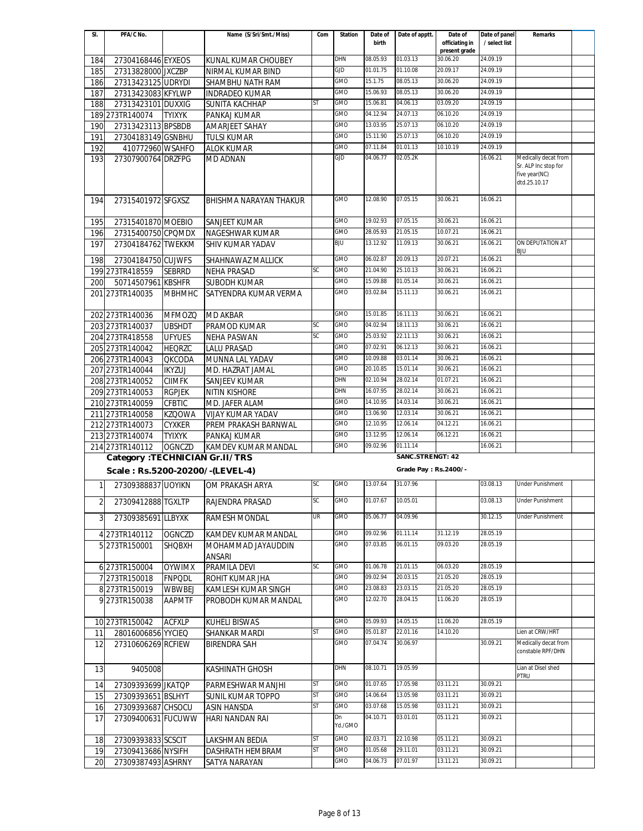| SI.            | PFA/C No.                             |               | Name (S/Sri/Smt./Miss)       | Com       | <b>Station</b> | Date of  | Date of apptt.          | Date of                         | Date of panel | Remarks                                                       |  |
|----------------|---------------------------------------|---------------|------------------------------|-----------|----------------|----------|-------------------------|---------------------------------|---------------|---------------------------------------------------------------|--|
|                |                                       |               |                              |           |                | birth    |                         | officiating in<br>present grade | / select list |                                                               |  |
| 184            | 27304168446 EYXEOS                    |               | KUNAL KUMAR CHOUBEY          |           | DHN            | 08.05.93 | 01.03.13                | 30.06.20                        | 24.09.19      |                                                               |  |
| 185            | 27313828000 JXCZBP                    |               | NIRMAL KUMAR BIND            |           | GJD            | 01.01.75 | 01.10.08                | 20.09.17                        | 24.09.19      |                                                               |  |
| 186            | 27313423125 UDRYDI                    |               | SHAMBHU NATH RAM             |           | GMO            | 15.1.75  | 08.05.13                | 30.06.20                        | 24.09.19      |                                                               |  |
| 187            | 27313423083 KFYLWP                    |               | <b>INDRADEO KUMAR</b>        |           | <b>GMO</b>     | 15.06.93 | 08.05.13                | 30.06.20                        | 24.09.19      |                                                               |  |
| 188            | 27313423101 DUXXIG                    |               | SUNITA KACHHAP               | ST        | <b>GMO</b>     | 15.06.81 | 04.06.13                | 03.09.20                        | 24.09.19      |                                                               |  |
|                | 189 273TR140074                       | <b>TYIXYK</b> | PANKAJ KUMAR                 |           | <b>GMO</b>     | 04.12.94 | 24.07.13                | 06.10.20                        | 24.09.19      |                                                               |  |
| 190            | 27313423113 BPSBDB                    |               | AMARJEET SAHAY               |           | GMO            | 13.03.95 | 25.07.13                | 06.10.20                        | 24.09.19      |                                                               |  |
|                |                                       |               |                              |           | GMO            | 15.11.90 | 25.07.13                | 06.10.20                        | 24.09.19      |                                                               |  |
| 191            | 27304183149 GSNBHU                    |               | <b>TULSI KUMAR</b>           |           | <b>GMO</b>     | 07.11.84 | 01.01.13                | 10.10.19                        | 24.09.19      |                                                               |  |
| 192            | 410772960 WSAHFO                      |               | <b>ALOK KUMAR</b>            |           | GJD            | 04.06.77 | 02.05.2K                |                                 | 16.06.21      |                                                               |  |
| 193            | 27307900764 DRZFPG                    |               | <b>MD ADNAN</b>              |           |                |          |                         |                                 |               | Medically decat from<br>Sr. ALP Inc stop for<br>five year(NC) |  |
|                |                                       |               |                              |           |                |          |                         |                                 |               | dtd.25.10.17                                                  |  |
| 194            | 27315401972 SFGXSZ                    |               | BHISHMA NARAYAN THAKUR       |           | GMO            | 12.08.90 | 07.05.15                | 30.06.21                        | 16.06.21      |                                                               |  |
| 195            | 27315401870 MOEBIO                    |               | SANJEET KUMAR                |           | <b>GMO</b>     | 19.02.93 | 07.05.15                | 30.06.21                        | 16.06.21      |                                                               |  |
| 196            | 27315400750 CPQMDX                    |               | NAGESHWAR KUMAR              |           | GMO            | 28.05.93 | 21.05.15                | 10.07.21                        | 16.06.21      |                                                               |  |
| 197            | 27304184762 TWEKKM                    |               | SHIV KUMAR YADAV             |           | <b>BJU</b>     | 13.12.92 | 11.09.13                | 30.06.21                        | 16.06.21      | ON DEPUTATION AT                                              |  |
|                |                                       |               | SHAHNAWAZ MALLICK            |           | GMO            | 06.02.87 | 20.09.13                | 20.07.21                        | 16.06.21      | <b>BJU</b>                                                    |  |
| 198            | 27304184750 CUJWFS<br>199 273TR418559 | <b>SEBRRD</b> | <b>NEHA PRASAD</b>           | <b>SC</b> | <b>GMO</b>     | 21.04.90 | 25.10.13                | 30.06.21                        | 16.06.21      |                                                               |  |
|                |                                       |               |                              |           | <b>GMO</b>     | 15.09.88 | 01.05.14                | 30.06.21                        | 16.06.21      |                                                               |  |
| 200            | 50714507961 KBSHFR                    |               | <b>SUBODH KUMAR</b>          |           | GMO            | 03.02.84 | 15.11.13                | 30.06.21                        | 16.06.21      |                                                               |  |
|                | 201 273TR140035                       | <b>MBHMHC</b> | SATYENDRA KUMAR VERMA        |           |                |          |                         |                                 |               |                                                               |  |
|                | 202 273TR140036                       | <b>MFMOZQ</b> | <b>MD AKBAR</b>              |           | <b>GMO</b>     | 15.01.85 | 16.11.13                | 30.06.21                        | 16.06.21      |                                                               |  |
|                | 203 273TR140037                       | <b>UBSHDT</b> | PRAMOD KUMAR                 | SC        | <b>GMO</b>     | 04.02.94 | 18.11.13                | 30.06.21                        | 16.06.21      |                                                               |  |
|                | 204 273TR418558                       | <b>UFYUES</b> | <b>NEHA PASWAN</b>           | SC        | GMO            | 25.03.92 | 22.11.13                | 30.06.21                        | 16.06.21      |                                                               |  |
|                | 205 273TR140042                       | <b>HEQRZC</b> | <b>LALU PRASAD</b>           |           | GMO            | 07.02.91 | 06.12.13                | 30.06.21                        | 16.06.21      |                                                               |  |
|                | 206 273TR140043                       | <b>QKCODA</b> | MUNNA LAL YADAV              |           | GMO            | 10.09.88 | 03.01.14                | 30.06.21                        | 16.06.21      |                                                               |  |
|                | 207 273TR140044                       | <b>IKYZUJ</b> | MD. HAZRAT JAMAL             |           | <b>GMO</b>     | 20.10.85 | 15.01.14                | 30.06.21                        | 16.06.21      |                                                               |  |
|                | 208 273TR140052                       | <b>CIIMFK</b> | SANJEEV KUMAR                |           | DHN            | 02.10.94 | 28.02.14                | 01.07.21                        | 16.06.21      |                                                               |  |
|                | 209 273TR140053                       | <b>RGPJEK</b> | <b>NITIN KISHORE</b>         |           | DHN            | 16.07.95 | 28.02.14                | 30.06.21                        | 16.06.21      |                                                               |  |
|                | 210 273TR140059                       | <b>CFBTIC</b> | MD. JAFER ALAM               |           | <b>GMO</b>     | 14.10.95 | 14.03.14                | 30.06.21                        | 16.06.21      |                                                               |  |
|                | 211 273TR140058                       | <b>KZQOWA</b> | VIJAY KUMAR YADAV            |           | GMO            | 13.06.90 | 12.03.14                | 30.06.21                        | 16.06.21      |                                                               |  |
|                | 212 273TR140073                       | <b>CYXKER</b> | PREM PRAKASH BARNWAL         |           | <b>GMO</b>     | 12.10.95 | 12.06.14                | 04.12.21                        | 16.06.21      |                                                               |  |
|                | 213 273TR140074                       | <b>TYIXYK</b> | PANKAJ KUMAR                 |           | <b>GMO</b>     | 13.12.95 | 12.06.14                | 06.12.21                        | 16.06.21      |                                                               |  |
|                | 214 273TR140112                       | <b>OGNCZD</b> | <b>KAMDEV KUMAR MANDAL</b>   |           | <b>GMO</b>     | 09.02.96 | 01.11.14                |                                 | 16.06.21      |                                                               |  |
|                | Category : TECHNICIAN Gr.II/TRS       |               |                              |           |                |          | <b>SANC.STRENGT: 42</b> |                                 |               |                                                               |  |
|                | Scale: Rs.5200-20200/-(LEVEL-4)       |               |                              |           |                |          | Grade Pay: Rs.2400/-    |                                 |               |                                                               |  |
|                |                                       |               |                              |           |                |          |                         |                                 |               |                                                               |  |
| $\mathbf{1}$   | 27309388837 UOYIKN                    |               | OM PRAKASH ARYA              | SC        | <b>GMO</b>     | 13.07.64 | 31.07.96                |                                 | 03.08.13      | <b>Under Punishment</b>                                       |  |
| $\overline{2}$ | 27309412888 TGXLTP                    |               | RAJENDRA PRASAD              | SC        | <b>GMO</b>     | 01.07.67 | 10.05.01                |                                 | 03.08.13      | <b>Under Punishment</b>                                       |  |
| 3              | 27309385691 LLBYXK                    |               | RAMESH MONDAL                | UR        | <b>GMO</b>     | 05.06.77 | 04.09.96                |                                 | 30.12.15      | <b>Under Punishment</b>                                       |  |
|                | 4 273TR140112                         | <b>OGNCZD</b> | KAMDEV KUMAR MANDAL          |           | <b>GMO</b>     | 09.02.96 | 01.11.14                | 31.12.19                        | 28.05.19      |                                                               |  |
|                | 5 273TR150001                         | <b>SHQBXH</b> | MOHAMMAD JAYAUDDIN<br>ANSARI |           | GMO            | 07.03.85 | 06.01.15                | 09.03.20                        | 28.05.19      |                                                               |  |
|                | 6 273TR150004                         | <b>OYWIMX</b> | PRAMILA DEVI                 | SC        | GMO            | 01.06.78 | 21.01.15                | 06.03.20                        | 28.05.19      |                                                               |  |
|                | 7 273TR150018                         | <b>FNPQDL</b> | ROHIT KUMAR JHA              |           | <b>GMO</b>     | 09.02.94 | 20.03.15                | 21.05.20                        | 28.05.19      |                                                               |  |
|                | 8 273TR150019                         | WBWBEJ        | KAMLESH KUMAR SINGH          |           | <b>GMO</b>     | 23.08.83 | 23.03.15                | 21.05.20                        | 28.05.19      |                                                               |  |
|                | 9 273TR150038                         | <b>AAPMTF</b> | PROBODH KUMAR MANDAL         |           | <b>GMO</b>     | 12.02.70 | 28.04.15                | 11.06.20                        | 28.05.19      |                                                               |  |
|                | 10 273TR150042                        | <b>ACFXLP</b> | KUHELI BISWAS                |           | GMO            | 05.09.93 | 14.05.15                | 11.06.20                        | 28.05.19      |                                                               |  |
| 11             | 28016006856 YYCIEQ                    |               | SHANKAR MARDI                | ST        | <b>GMO</b>     | 05.01.87 | 22.01.16                | 14.10.20                        |               | Lien at CRW/HRT                                               |  |
| 12             | 27310606269 RCFIEW                    |               | BIRENDRA SAH                 |           | <b>GMO</b>     | 07.04.74 | 30.06.97                |                                 | 30.09.21      | Medically decat from                                          |  |
|                |                                       |               |                              |           |                |          |                         |                                 |               | constable RPF/DHN                                             |  |
| 13             | 9405008                               |               | KASHINATH GHOSH              |           | <b>DHN</b>     | 08.10.71 | 19.05.99                |                                 |               | Lian at Disel shed<br>PTRU                                    |  |
| 14             | 27309393699 JKATQP                    |               | PARMESHWAR MANJHI            | <b>ST</b> | <b>GMO</b>     | 01.07.65 | 17.05.98                | 03.11.21                        | 30.09.21      |                                                               |  |
| 15             | 27309393651 BSLHYT                    |               | <b>SUNIL KUMAR TOPPO</b>     | ST        | <b>GMO</b>     | 14.06.64 | 13.05.98                | 03.11.21                        | 30.09.21      |                                                               |  |
| 16             | 27309393687 CHSOCU                    |               | ASIN HANSDA                  | ST        | <b>GMO</b>     | 03.07.68 | 15.05.98                | 03.11.21                        | 30.09.21      |                                                               |  |
| 17             | 27309400631 FUCUWW                    |               | HARI NANDAN RAI              |           | Dn<br>Yd./GMO  | 04.10.71 | 03.01.01                | 05.11.21                        | 30.09.21      |                                                               |  |
| 18             | 27309393833 SCSCIT                    |               | LAKSHMAN BEDIA               | ST        | <b>GMO</b>     | 02.03.71 | 22.10.98                | 05.11.21                        | 30.09.21      |                                                               |  |
| 19             | 27309413686 NYSIFH                    |               | DASHRATH HEMBRAM             | ST        | GMO            | 01.05.68 | 29.11.01                | 03.11.21                        | 30.09.21      |                                                               |  |
| 20             | 27309387493 ASHRNY                    |               | SATYA NARAYAN                |           | GMO            | 04.06.73 | 07.01.97                | 13.11.21                        | 30.09.21      |                                                               |  |
|                |                                       |               |                              |           |                |          |                         |                                 |               |                                                               |  |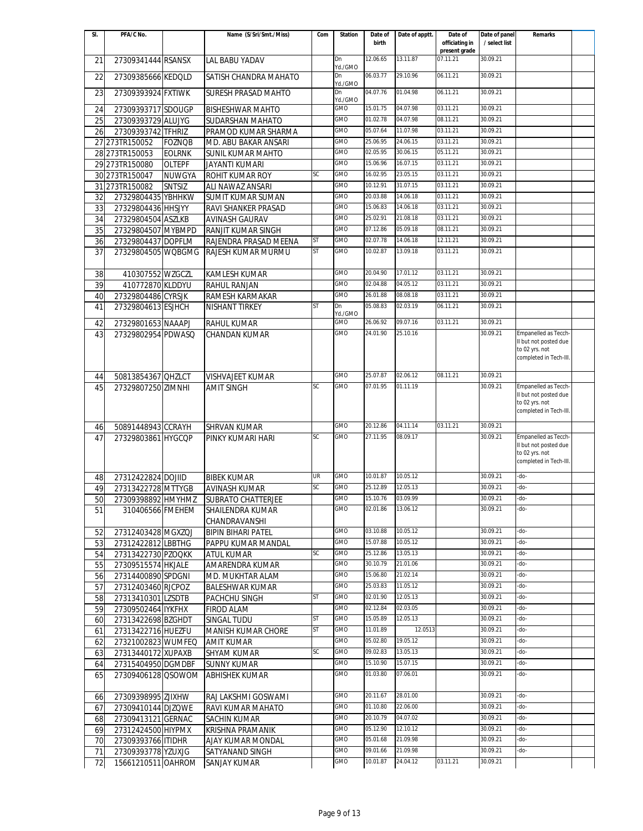| SI. | PFA/C No.          |               | Name (S/Sri/Smt./Miss)    | Com       | <b>Station</b> | Date of  | Date of apptt. | Date of                   | Date of panel | <b>Remarks</b>                                |  |
|-----|--------------------|---------------|---------------------------|-----------|----------------|----------|----------------|---------------------------|---------------|-----------------------------------------------|--|
|     |                    |               |                           |           |                | birth    |                | officiating in            | / select list |                                               |  |
| 21  | 27309341444 RSANSX |               | LAL BABU YADAV            |           | Dn             | 12.06.65 | 13.11.87       | present grade<br>07.11.21 | 30.09.21      |                                               |  |
|     |                    |               |                           |           | Yd./GMO        |          |                |                           |               |                                               |  |
| 22  | 27309385666 KEDQLD |               | SATISH CHANDRA MAHATO     |           | Dn             | 06.03.77 | 29.10.96       | 06.11.21                  | 30.09.21      |                                               |  |
|     |                    |               |                           |           | Yd./GMO        |          |                |                           |               |                                               |  |
| 23  | 27309393924 FXTIWK |               | SURESH PRASAD MAHTO       |           | Dn<br>Yd./GMO  | 04.07.76 | 01.04.98       | 06.11.21                  | 30.09.21      |                                               |  |
| 24  | 27309393717 SDOUGP |               | <b>BISHESHWAR MAHTO</b>   |           | GMO            | 15.01.75 | 04.07.98       | 03.11.21                  | 30.09.21      |                                               |  |
|     |                    |               |                           |           | GMO            | 01.02.78 | 04.07.98       | 08.11.21                  | 30.09.21      |                                               |  |
| 25  | 27309393729 ALUJYG |               | <b>SUDARSHAN MAHATO</b>   |           |                |          |                |                           |               |                                               |  |
| 26  | 27309393742 TFHRIZ |               | PRAMOD KUMAR SHARMA       |           | GMO            | 05.07.64 | 11.07.98       | 03.11.21                  | 30.09.21      |                                               |  |
|     | 27 273TR150052     | <b>FOZNQB</b> | MD. ABU BAKAR ANSARI      |           | GMO            | 25.06.95 | 24.06.15       | 03.11.21                  | 30.09.21      |                                               |  |
|     | 28 273TR150053     | <b>EOLRNK</b> | <b>SUNIL KUMAR MAHTO</b>  |           | GMO            | 02.05.95 | 30.06.15       | 05.11.21                  | 30.09.21      |                                               |  |
|     | 29 273TR150080     | <b>OLTEPF</b> | <b>JAYANTI KUMARI</b>     |           | <b>GMO</b>     | 15.06.96 | 16.07.15       | 03.11.21                  | 30.09.21      |                                               |  |
|     | 30 273TR150047     | <b>NUWGYA</b> | <b>ROHIT KUMAR ROY</b>    | SC        | <b>GMO</b>     | 16.02.95 | 23.05.15       | 03.11.21                  | 30.09.21      |                                               |  |
|     | 31 273TR150082     | <b>SNTSIZ</b> | ALI NAWAZ ANSARI          |           | <b>GMO</b>     | 10.12.91 | 31.07.15       | 03.11.21                  | 30.09.21      |                                               |  |
| 32  | 27329804435 YBHHKW |               | <b>SUMIT KUMAR SUMAN</b>  |           | GMO            | 20.03.88 | 14.06.18       | 03.11.21                  | 30.09.21      |                                               |  |
|     |                    |               |                           |           | GMO            | 15.06.83 | 14.06.18       | 03.11.21                  | 30.09.21      |                                               |  |
| 33  | 27329804436 HHSJYY |               | RAVI SHANKER PRASAD       |           | GMO            | 25.02.91 | 21.08.18       | 03.11.21                  | 30.09.21      |                                               |  |
| 34  | 27329804504 ASZLKB |               | <b>AVINASH GAURAV</b>     |           |                |          |                |                           |               |                                               |  |
| 35  | 27329804507 MYBMPD |               | RANJIT KUMAR SINGH        |           | GMO            | 07.12.86 | 05.09.18       | 08.11.21                  | 30.09.21      |                                               |  |
| 36  | 27329804437 DOPFLM |               | RAJENDRA PRASAD MEENA     | <b>ST</b> | GMO            | 02.07.78 | 14.06.18       | 12.11.21                  | 30.09.21      |                                               |  |
| 37  | 27329804505 WQBGMG |               | RAJESH KUMAR MURMU        | <b>ST</b> | GMO            | 10.02.87 | 13.09.18       | 03.11.21                  | 30.09.21      |                                               |  |
|     |                    |               |                           |           |                |          |                |                           |               |                                               |  |
| 38  | 410307552 WZGCZL   |               | KAMLESH KUMAR             |           | <b>GMO</b>     | 20.04.90 | 17.01.12       | 03.11.21                  | 30.09.21      |                                               |  |
| 39  | 410772870 KLDDYU   |               | <b>RAHUL RANJAN</b>       |           | GMO            | 02.04.88 | 04.05.12       | 03.11.21                  | 30.09.21      |                                               |  |
| 40  | 27329804486 CYRSJK |               | RAMESH KARMAKAR           |           | GMO            | 26.01.88 | 08.08.18       | 03.11.21                  | 30.09.21      |                                               |  |
|     |                    |               |                           | <b>ST</b> | Dn             | 05.08.83 | 02.03.19       | 06.11.21                  | 30.09.21      |                                               |  |
| 41  | 27329804613 ESJHCH |               | NISHANT TIRKEY            |           | Yd./GMO        |          |                |                           |               |                                               |  |
| 42  | 27329801653 NAAAPJ |               | <b>RAHUL KUMAR</b>        |           | GMO            | 26.06.92 | 09.07.16       | 03.11.21                  | 30.09.21      |                                               |  |
| 43  | 27329802954 PDWASQ |               | <b>CHANDAN KUMAR</b>      |           | <b>GMO</b>     | 24.01.90 | 25.10.16       |                           | 30.09.21      | Empanelled as Tecch-                          |  |
|     |                    |               |                           |           |                |          |                |                           |               | II but not posted due                         |  |
|     |                    |               |                           |           |                |          |                |                           |               | to 02 yrs. not                                |  |
|     |                    |               |                           |           |                |          |                |                           |               | completed in Tech-III.                        |  |
|     |                    |               |                           |           |                | 25.07.87 | 02.06.12       | 08.11.21                  | 30.09.21      |                                               |  |
| 44  | 50813854367 OHZLCT |               | <b>VISHVAJEET KUMAR</b>   |           | GMO            |          |                |                           |               |                                               |  |
| 45  | 27329807250 ZIMNHI |               | <b>AMIT SINGH</b>         | SC        | GMO            | 07.01.95 | 01.11.19       |                           | 30.09.21      | Empanelled as Tecch-<br>II but not posted due |  |
|     |                    |               |                           |           |                |          |                |                           |               | to 02 yrs. not                                |  |
|     |                    |               |                           |           |                |          |                |                           |               | completed in Tech-III.                        |  |
|     |                    |               |                           |           |                |          |                |                           |               |                                               |  |
| 46  | 50891448943 CCRAYH |               | <b>SHRVAN KUMAR</b>       |           | GMO            | 20.12.86 | 04.11.14       | 03.11.21                  | 30.09.21      |                                               |  |
| 47  | 27329803861 HYGCQP |               | PINKY KUMARI HARI         | SC        | GMO            | 27.11.95 | 08.09.17       |                           | 30.09.21      | Empanelled as Tecch-<br>II but not posted due |  |
|     |                    |               |                           |           |                |          |                |                           |               | to 02 yrs. not                                |  |
|     |                    |               |                           |           |                |          |                |                           |               | completed in Tech-III.                        |  |
|     |                    |               |                           |           |                |          |                |                           |               |                                               |  |
| 48  | 27312422824 DOJIID |               | <b>BIBEK KUMAR</b>        | UR        | GMO            | 10.01.87 | 10.05.12       |                           | 30.09.21      | -do-                                          |  |
| 49  | 27313422728 MTTYGB |               | <b>AVINASH KUMAR</b>      | SC        | GMO            | 25.12.89 | 12.05.13       |                           | 30.09.21      | -do-                                          |  |
| 50  | 27309398892 HMYHMZ |               | SUBRATO CHATTERJEE        |           | <b>GMO</b>     | 15.10.76 | 03.09.99       |                           | 30.09.21      | -do-                                          |  |
| 51  | 310406566 FMEHEM   |               | SHAILENDRA KUMAR          |           | GMO            | 02.01.86 | 13.06.12       |                           | 30.09.21      | -do-                                          |  |
|     |                    |               | CHANDRAVANSHI             |           |                |          |                |                           |               |                                               |  |
| 52  | 27312403428 MGXZQJ |               | <b>BIPIN BIHARI PATEL</b> |           | <b>GMO</b>     | 03.10.88 | 10.05.12       |                           | 30.09.21      | -do-                                          |  |
|     | 27312422812 LBBTHG |               | PAPPU KUMAR MANDAL        |           | GMO            | 15.07.88 | 10.05.12       |                           | 30.09.21      | -do-                                          |  |
| 53  |                    |               |                           | SC        | GMO            | 25.12.86 | 13.05.13       |                           | 30.09.21      | -do-                                          |  |
| 54  | 27313422730 PZOQKK |               | ATUL KUMAR                |           |                |          |                |                           |               |                                               |  |
| 55  | 27309515574 HKJALE |               | AMARENDRA KUMAR           |           | GMO            | 30.10.79 | 21.01.06       |                           | 30.09.21      | -do-                                          |  |
| 56  | 27314400890 SPDGNI |               | MD. MUKHTAR ALAM          |           | GMO            | 15.06.80 | 21.02.14       |                           | 30.09.21      | -do-                                          |  |
| 57  | 27312403460 RJCPOZ |               | <b>BALESHWAR KUMAR</b>    |           | GMO            | 25.03.83 | 11.05.12       |                           | 30.09.21      | -do-                                          |  |
| 58  | 27313410301 LZSDTB |               | PACHCHU SINGH             | ST        | GMO            | 02.01.90 | 12.05.13       |                           | 30.09.21      | -do-                                          |  |
| 59  | 27309502464 IYKFHX |               | FIROD ALAM                |           | GMO            | 02.12.84 | 02.03.05       |                           | 30.09.21      | -do-                                          |  |
| 60  | 27313422698 BZGHDT |               | SINGAL TUDU               | ST        | GMO            | 15.05.89 | 12.05.13       |                           | 30.09.21      | -do-                                          |  |
| 61  | 27313422716 HUEZFU |               | MANISH KUMAR CHORE        | ST        | GMO            | 11.01.89 | 12.0513        |                           | 30.09.21      | -do-                                          |  |
| 62  | 27321002823 WUMFEQ |               | <b>AMIT KUMAR</b>         |           | GMO            | 05.02.80 | 19.05.12       |                           | 30.09.21      | -do-                                          |  |
|     |                    |               |                           | SC        | GMO            | 09.02.83 | 13.05.13       |                           | 30.09.21      | -do-                                          |  |
| 63  | 27313440172 XUPAXB |               | SHYAM KUMAR               |           | GMO            | 15.10.90 | 15.07.15       |                           | 30.09.21      | -do-                                          |  |
| 64  | 27315404950 DGMDBF |               | <b>SUNNY KUMAR</b>        |           |                |          |                |                           |               |                                               |  |
| 65  | 27309406128 QSOWOM |               | <b>ABHISHEK KUMAR</b>     |           | GMO            | 01.03.80 | 07.06.01       |                           | 30.09.21      | -do-                                          |  |
|     |                    |               |                           |           |                |          |                |                           |               |                                               |  |
| 66  | 27309398995 ZJIXHW |               | RAJ LAKSHMI GOSWAMI       |           | GMO            | 20.11.67 | 28.01.00       |                           | 30.09.21      | -do-                                          |  |
| 67  | 27309410144 DJZQWE |               | RAVI KUMAR MAHATO         |           | GMO            | 01.10.80 | 22.06.00       |                           | 30.09.21      | -do-                                          |  |
| 68  | 27309413121 GERNAC |               | SACHIN KUMAR              |           | GMO            | 20.10.79 | 04.07.02       |                           | 30.09.21      | -do-                                          |  |
| 69  | 27312424500 HIYPMX |               | <b>KRISHNA PRAMANIK</b>   |           | GMO            | 05.12.90 | 12.10.12       |                           | 30.09.21      | -do-                                          |  |
| 70  | 27309393766 ITIDHR |               | AJAY KUMAR MONDAL         |           | GMO            | 05.01.68 | 21.09.98       |                           | 30.09.21      | -do-                                          |  |
|     |                    |               |                           |           | GMO            | 09.01.66 | 21.09.98       |                           | 30.09.21      | -do-                                          |  |
| 71  | 27309393778 YZUXJG |               | SATYANAND SINGH           |           |                |          |                |                           |               |                                               |  |
| 72  | 15661210511 OAHROM |               | <b>SANJAY KUMAR</b>       |           | GMO            | 10.01.87 | 24.04.12       | 03.11.21                  | 30.09.21      |                                               |  |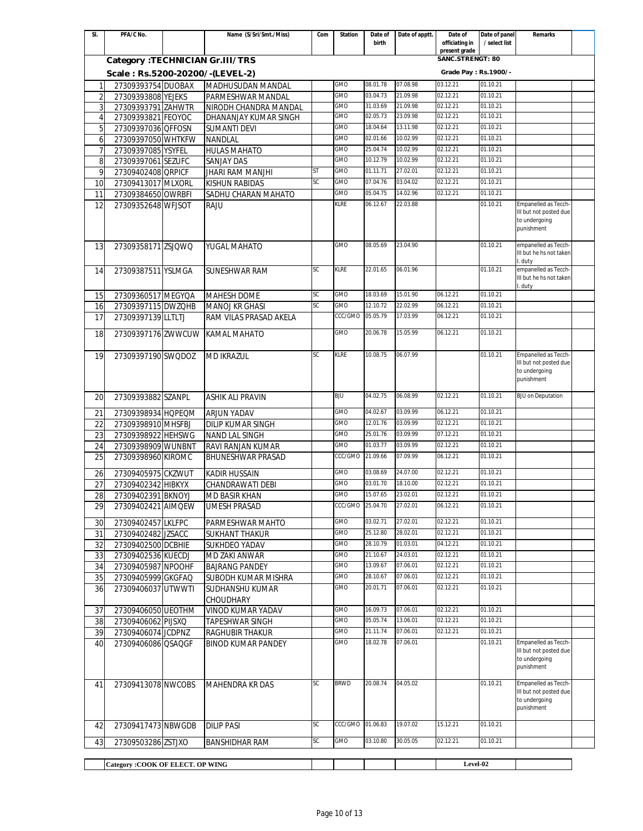| SI.            | PFA/C No.                        | Name (S/Sri/Smt./Miss)    | Com       | <b>Station</b>   | Date of  | Date of apptt. | Date of                         | Date of panel | <b>Remarks</b>                                 |  |
|----------------|----------------------------------|---------------------------|-----------|------------------|----------|----------------|---------------------------------|---------------|------------------------------------------------|--|
|                |                                  |                           |           |                  | birth    |                | officiating in<br>present grade | / select list |                                                |  |
|                | Category : TECHNICIAN Gr.III/TRS |                           |           |                  |          |                | SANC.STRENGT: 80                |               |                                                |  |
|                | Scale: Rs.5200-20200/-(LEVEL-2)  |                           |           |                  |          |                | Grade Pay : Rs. 1900/-          |               |                                                |  |
| $\mathbf{1}$   | 27309393754 DUOBAX               | MADHUSUDAN MANDAL         |           | GMO              | 08.01.78 | 07.08.98       | 03.12.21                        | 01.10.21      |                                                |  |
| $\overline{2}$ | 27309393808 YEJEKS               | PARMESHWAR MANDAL         |           | GMO              | 03.04.73 | 21.09.98       | 02.12.21                        | 01.10.21      |                                                |  |
| 3              | 27309393791 ZAHWTR               | NIRODH CHANDRA MANDAL     |           | GMO              | 31.03.69 | 21.09.98       | 02.12.21                        | 01.10.21      |                                                |  |
| 4              | 27309393821 FEOYOC               | DHANANJAY KUMAR SINGH     |           | GMO              | 02.05.73 | 23.09.98       | 02.12.21                        | 01.10.21      |                                                |  |
| 5              | 27309397036 QFFOSN               | <b>SUMANTI DEVI</b>       |           | GMO              | 18.04.64 | 13.11.98       | 02.12.21                        | 01.10.21      |                                                |  |
| 6              | 27309397050 WHTKFW               | <b>NANDLAL</b>            |           | GMO              | 02.01.66 | 10.02.99       | 02.12.21                        | 01.10.21      |                                                |  |
| $\overline{7}$ | 27309397085 YSYFEL               | <b>HULAS MAHATO</b>       |           | GMO              | 25.04.74 | 10.02.99       | 02.12.21                        | 01.10.21      |                                                |  |
| 8              | 27309397061 SEZUFC               | <b>SANJAY DAS</b>         |           | <b>GMO</b>       | 10.12.79 | 10.02.99       | 02.12.21                        | 01.10.21      |                                                |  |
| 9              | 27309402408 QRPICF               | <b>JHARI RAM MANJHI</b>   | ST        | <b>GMO</b>       | 01.11.71 | 27.02.01       | 02.12.21                        | 01.10.21      |                                                |  |
| 10             | 27309413017 MLXORL               | <b>KISHUN RABIDAS</b>     | <b>SC</b> | <b>GMO</b>       | 07.04.76 | 03.04.02       | 02.12.21                        | 01.10.21      |                                                |  |
| 11             | 27309384650 OWRBFI               | SADHU CHARAN MAHATO       |           | GMO              | 05.04.75 | 14.02.96       | 02.12.21                        | 01.10.21      |                                                |  |
| 12             | 27309352648 WFJSOT               | <b>RAJU</b>               |           | KLRE             | 06.12.67 | 22.03.88       |                                 | 01.10.21      | Empanelled as Tecch-<br>III but not posted due |  |
|                |                                  |                           |           |                  |          |                |                                 |               | to undergoing                                  |  |
|                |                                  |                           |           |                  |          |                |                                 |               | punishment                                     |  |
| 13             | 27309358171 ZSJOWO               | YUGAL MAHATO              |           | GMO              | 08.05.69 | 23.04.90       |                                 | 01.10.21      | empanelled as Tecch-                           |  |
|                |                                  |                           |           |                  |          |                |                                 |               | III but he hs not taken                        |  |
|                |                                  |                           | SC        | KLRE             | 22.01.65 | 06.01.96       |                                 | 01.10.21      | . duty<br>empanelled as Tecch-                 |  |
| 14             | 27309387511 YSLMGA               | <b>SUNESHWAR RAM</b>      |           |                  |          |                |                                 |               | III but he hs not taken                        |  |
|                |                                  |                           |           |                  |          |                |                                 |               | duty.                                          |  |
| 15             | 27309360517 MEGYQA               | <b>MAHESH DOME</b>        | SC        | GMO              | 18.03.69 | 15.01.90       | 06.12.21                        | 01.10.21      |                                                |  |
| 16             | 27309397115 DWZQHB               | MANOJ KR GHASI            | <b>SC</b> | GMO              | 12.10.72 | 22.02.99       | 06.12.21                        | 01.10.21      |                                                |  |
| 17             | 27309397139 LLTLTJ               | RAM VILAS PRASAD AKELA    |           | CCC/GMO          | 05.05.79 | 17.03.99       | 06.12.21                        | 01.10.21      |                                                |  |
| 18             | 27309397176 ZWWCUW               | <b>KAMAL MAHATO</b>       |           | GMO              | 20.06.78 | 15.05.99       | 06.12.21                        | 01.10.21      |                                                |  |
|                |                                  |                           |           |                  |          |                |                                 |               |                                                |  |
| 19             | 27309397190 SWQDOZ               | <b>MD IKRAZUL</b>         | SC        | KLRE             | 10.08.75 | 06.07.99       |                                 | 01.10.21      | Empanelled as Tecch-                           |  |
|                |                                  |                           |           |                  |          |                |                                 |               | III but not posted due                         |  |
|                |                                  |                           |           |                  |          |                |                                 |               | to undergoing<br>punishment                    |  |
|                |                                  |                           |           |                  |          |                |                                 |               |                                                |  |
| 20             | 27309393882 SZANPL               | <b>ASHIK ALI PRAVIN</b>   |           | BJU              | 04.02.75 | 06.08.99       | 02.12.21                        | 01.10.21      | <b>BJU on Deputation</b>                       |  |
| 21             | 27309398934 HQPEQM               | <b>ARJUN YADAV</b>        |           | GMO              | 04.02.67 | 03.09.99       | 06.12.21                        | 01.10.21      |                                                |  |
| 22             | 27309398910 MHSFBJ               | <b>DILIP KUMAR SINGH</b>  |           | GMO              | 12.01.76 | 03.09.99       | 02.12.21                        | 01.10.21      |                                                |  |
| 23             | 27309398922 HEHSWG               | <b>NAND LAL SINGH</b>     |           | GMO              | 25.01.76 | 03.09.99       | 07.12.21                        | 01.10.21      |                                                |  |
| 24             | 27309398909 WUNBNT               | RAVI RANJAN KUMAR         |           | GMO              | 01.03.77 | 03.09.99       | 02.12.21                        | 01.10.21      |                                                |  |
| 25             | 27309398960 KIROMC               | <b>BHUNESHWAR PRASAD</b>  |           | CCC/GMO          | 21.09.66 | 07.09.99       | 06.12.21                        | 01.10.21      |                                                |  |
|                |                                  |                           |           | GMO              | 03.08.69 | 24.07.00       | 02.12.21                        | 01.10.21      |                                                |  |
| 26             | 27309405975 CKZWUT               | <b>KADIR HUSSAIN</b>      |           | GMO              | 03.01.70 | 18.10.00       | 02.12.21                        | 01.10.21      |                                                |  |
| 27             | 27309402342 HIBKYX               | CHANDRAWATI DEBI          |           | GMO              | 15.07.65 | 23.02.01       | 02.12.21                        | 01.10.21      |                                                |  |
| 28             | 27309402391 BKNOYJ               | <b>MD BASIR KHAN</b>      |           | CCC/GMO 25.04.70 |          | 27.02.01       | 06.12.21                        | 01.10.21      |                                                |  |
| 29             | 27309402421 AIMOEW               | <b>UMESH PRASAD</b>       |           |                  |          |                |                                 |               |                                                |  |
| 30             | 27309402457 LKLFPC               | PARMESHWAR MAHTO          |           | <b>GMO</b>       | 03.02.71 | 27.02.01       | 02.12.21                        | 01.10.21      |                                                |  |
| 31             | 27309402482 JZSACC               | <b>SUKHANT THAKUR</b>     |           | <b>GMO</b>       | 25.12.80 | 28.02.01       | 02.12.21                        | 01.10.21      |                                                |  |
| 32             | 27309402500 DCBHIE               | <b>SUKHDEO YADAV</b>      |           | <b>GMO</b>       | 28.10.79 | 01.03.01       | 04.12.21                        | 01.10.21      |                                                |  |
| 33             | 27309402536 KUECDJ               | MD ZAKI ANWAR             |           | GMO              | 21.10.67 | 24.03.01       | 02.12.21                        | 01.10.21      |                                                |  |
| 34             | 27309405987 NPOOHF               | <b>BAJRANG PANDEY</b>     |           | GMO              | 13.09.67 | 07.06.01       | 02.12.21                        | 01.10.21      |                                                |  |
| 35             | 27309405999 GKGFAQ               | SUBODH KUMAR MISHRA       |           | GMO              | 28.10.67 | 07.06.01       | 02.12.21                        | 01.10.21      |                                                |  |
| 36             | 27309406037 UTWWTI               | <b>SUDHANSHU KUMAR</b>    |           | GMO              | 20.01.71 | 07.06.01       | 02.12.21                        | 01.10.21      |                                                |  |
|                |                                  | <b>CHOUDHARY</b>          |           |                  |          |                |                                 |               |                                                |  |
| 37             | 27309406050 UEOTHM               | <b>VINOD KUMAR YADAV</b>  |           | GMO              | 16.09.73 | 07.06.01       | 02.12.21                        | 01.10.21      |                                                |  |
| 38             | 27309406062 PIJSXQ               | <b>TAPESHWAR SINGH</b>    |           | GMO              | 05.05.74 | 13.06.01       | 02.12.21                        | 01.10.21      |                                                |  |
| 39             | 27309406074 JCDPNZ               | <b>RAGHUBIR THAKUR</b>    |           | GMO              | 21.11.74 | 07.06.01       | 02.12.21                        | 01.10.21      |                                                |  |
| 40             | 27309406086 QSAQGF               | <b>BINOD KUMAR PANDEY</b> |           | GMO              | 18.02.78 | 07.06.01       |                                 | 01.10.21      | Empanelled as Tecch-<br>III but not posted due |  |
|                |                                  |                           |           |                  |          |                |                                 |               | to undergoing                                  |  |
|                |                                  |                           |           |                  |          |                |                                 |               | punishment                                     |  |
| 41             | 27309413078 NWCOBS               | <b>MAHENDRA KR DAS</b>    | SC        | <b>BRWD</b>      | 20.08.74 | 04.05.02       |                                 | 01.10.21      | Empanelled as Tecch-                           |  |
|                |                                  |                           |           |                  |          |                |                                 |               | III but not posted due                         |  |
|                |                                  |                           |           |                  |          |                |                                 |               | to undergoing<br>punishment                    |  |
|                |                                  |                           |           |                  |          |                |                                 |               |                                                |  |
| 42             | 27309417473 NBWGDB               | <b>DILIP PASI</b>         | <b>SC</b> | CCC/GMO 01.06.83 |          | 19.07.02       | 15.12.21                        | 01.10.21      |                                                |  |
| 43             | 27309503286 ZSTJXO               | <b>BANSHIDHAR RAM</b>     | SC        | GMO              | 03.10.80 | 30.05.05       | 02.12.21                        | 01.10.21      |                                                |  |
|                |                                  |                           |           |                  |          |                |                                 |               |                                                |  |
|                | Category: COOK OF ELECT. OP WING |                           |           |                  |          |                | Level-02                        |               |                                                |  |
|                |                                  |                           |           |                  |          |                |                                 |               |                                                |  |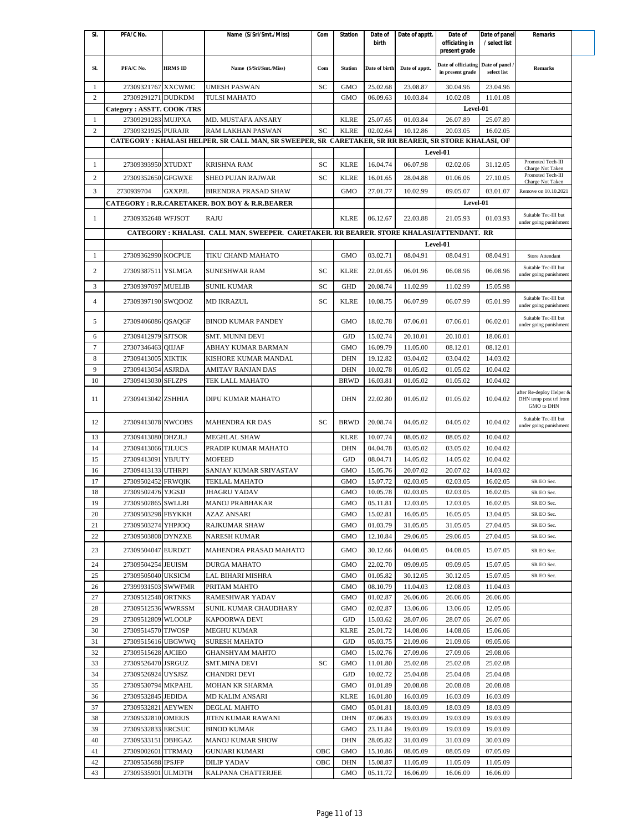| SI.            | PFA/C No.                 |                | Name (S/Sri/Smt./Miss)                                                                               | Com | <b>Station</b> | Date of       | Date of apptt. | Date of             | Date of panel   | Remarks                                        |
|----------------|---------------------------|----------------|------------------------------------------------------------------------------------------------------|-----|----------------|---------------|----------------|---------------------|-----------------|------------------------------------------------|
|                |                           |                |                                                                                                      |     |                | birth         |                | officiating in      | / select list   |                                                |
|                |                           |                |                                                                                                      |     |                |               |                | present grade       |                 |                                                |
| SI.            | PFA/C No.                 | <b>HRMS ID</b> | Name (S/Sri/Smt./Miss)                                                                               | Com | <b>Station</b> | Date of birth | Date of apptt. | Date of officiating | Date of panel / | <b>Remarks</b>                                 |
|                |                           |                |                                                                                                      |     |                |               |                | in present grade    | select list     |                                                |
| 1              | 27309321767 XXCWMC        |                | <b>UMESH PASWAN</b>                                                                                  | SC  | <b>GMO</b>     | 25.02.68      | 23.08.87       | 30.04.96            | 23.04.96        |                                                |
| $\overline{c}$ | 27309291271 DUDKDM        |                | TULSI MAHATO                                                                                         |     | <b>GMO</b>     | 06.09.63      | 10.03.84       | 10.02.08            | 11.01.08        |                                                |
|                | Category: ASSTT. COOK/TRS |                |                                                                                                      |     |                |               |                | Level-01            |                 |                                                |
| 1              | 27309291283 MUJPXA        |                | MD. MUSTAFA ANSARY                                                                                   |     | <b>KLRE</b>    | 25.07.65      | 01.03.84       | 26.07.89            | 25.07.89        |                                                |
| $\overline{c}$ | 27309321925 PURAJR        |                | RAM LAKHAN PASWAN                                                                                    | SC  | <b>KLRE</b>    | 02.02.64      | 10.12.86       | 20.03.05            | 16.02.05        |                                                |
|                |                           |                | CATEGORY : KHALASI HELPER. SR CALL MAN, SR SWEEPER, SR CARETAKER, SR RR BEARER, SR STORE KHALASI, OF |     |                |               |                |                     |                 |                                                |
|                |                           |                |                                                                                                      |     |                |               |                | Level-01            |                 |                                                |
| 1              | 27309393950 XTUDXT        |                | <b>KRISHNA RAM</b>                                                                                   | SC  | <b>KLRE</b>    | 16.04.74      | 06.07.98       | 02.02.06            | 31.12.05        | Promoted Tech-III<br>Charge Not Taken          |
| $\overline{c}$ | 27309352650 GFGWXE        |                | <b>SHEO PUJAN RAJWAR</b>                                                                             | SC  | <b>KLRE</b>    | 16.01.65      | 28.04.88       | 01.06.06            | 27.10.05        | Promoted Tech-III                              |
| 3              | 2730939704                | <b>GXXPJL</b>  | <b>BIRENDRA PRASAD SHAW</b>                                                                          |     | <b>GMO</b>     | 27.01.77      | 10.02.99       | 09.05.07            | 03.01.07        | Charge Not Taken<br>Remove on 10.10.2021       |
|                |                           |                |                                                                                                      |     |                |               |                | Level-01            |                 |                                                |
|                |                           |                | <b>CATEGORY: R.R.CARETAKER. BOX BOY &amp; R.R.BEARER</b>                                             |     |                |               |                |                     |                 |                                                |
| -1             | 27309352648 WFJSOT        |                | RAJU                                                                                                 |     | <b>KLRE</b>    | 06.12.67      | 22.03.88       | 21.05.93            | 01.03.93        | Suitable Tec-III but<br>under going punishment |
|                |                           |                | CATEGORY : KHALASI. CALL MAN. SWEEPER. CARETAKER. RR BEARER. STORE KHALASI/ATTENDANT. RR             |     |                |               |                |                     |                 |                                                |
|                |                           |                |                                                                                                      |     |                |               |                | Level-01            |                 |                                                |
| 1              | 27309362990 KOCPUE        |                | TIKU CHAND MAHATO                                                                                    |     | <b>GMO</b>     | 03.02.71      | 08.04.91       | 08.04.91            | 08.04.91        | Store Attendant                                |
|                |                           |                |                                                                                                      |     |                |               |                |                     |                 | Suitable Tec-III but                           |
| $\overline{c}$ | 27309387511 YSLMGA        |                | <b>SUNESHWAR RAM</b>                                                                                 | SC  | <b>KLRE</b>    | 22.01.65      | 06.01.96       | 06.08.96            | 06.08.96        | under going punishment                         |
| 3              | 27309397097 MUELIB        |                | <b>SUNIL KUMAR</b>                                                                                   | SC  | <b>GHD</b>     | 20.08.74      | 11.02.99       | 11.02.99            | 15.05.98        |                                                |
|                |                           |                |                                                                                                      |     |                |               |                |                     |                 | Suitable Tec-III but                           |
| $\overline{4}$ | 27309397190 SWODOZ        |                | <b>MD IKRAZUL</b>                                                                                    | SC  | <b>KLRE</b>    | 10.08.75      | 06.07.99       | 06.07.99            | 05.01.99        | under going punishment                         |
| 5              | 27309406086 QSAQGF        |                | <b>BINOD KUMAR PANDEY</b>                                                                            |     | <b>GMO</b>     | 18.02.78      | 07.06.01       | 07.06.01            | 06.02.01        | Suitable Tec-III but                           |
|                |                           |                |                                                                                                      |     |                |               |                |                     |                 | under going punishment                         |
| 6              | 27309412979 SJTSOR        |                | <b>SMT. MUNNI DEVI</b>                                                                               |     | <b>GJD</b>     | 15.02.74      | 20.10.01       | 20.10.01            | 18.06.01        |                                                |
| $\overline{7}$ | 27307346463 OIIJAF        |                | ABHAY KUMAR BARMAN                                                                                   |     | <b>GMO</b>     | 16.09.79      | 11.05.00       | 08.12.01            | 08.12.01        |                                                |
| 8              | 27309413005               | <b>XIKTIK</b>  | KISHORE KUMAR MANDAL                                                                                 |     | <b>DHN</b>     | 19.12.82      | 03.04.02       | 03.04.02            | 14.03.02        |                                                |
| 9              | 27309413054 ASJRDA        |                | AMITAV RANJAN DAS                                                                                    |     | <b>DHN</b>     | 10.02.78      | 01.05.02       | 01.05.02            | 10.04.02        |                                                |
| 10             | 27309413030 SFLZPS        |                | TEK LALL MAHATO                                                                                      |     | <b>BRWD</b>    | 16.03.81      | 01.05.02       | 01.05.02            | 10.04.02        |                                                |
|                |                           |                |                                                                                                      |     |                |               |                |                     |                 | after Re-deploy Helper &                       |
| 11             | 27309413042 ZSHHIA        |                | DIPU KUMAR MAHATO                                                                                    |     | <b>DHN</b>     | 22.02.80      | 01.05.02       | 01.05.02            | 10.04.02        | DHN temp post trf from<br>GMO to DHN           |
|                |                           |                |                                                                                                      |     |                |               |                |                     |                 | Suitable Tec-III but                           |
| 12             | 27309413078 NWCOBS        |                | <b>MAHENDRA KR DAS</b>                                                                               | SC  | <b>BRWD</b>    | 20.08.74      | 04.05.02       | 04.05.02            | 10.04.02        | under going punishment                         |
| 13             | 27309413080 DHZJLJ        |                | <b>MEGHLAL SHAW</b>                                                                                  |     | <b>KLRE</b>    | 10.07.74      | 08.05.02       | 08.05.02            | 10.04.02        |                                                |
| 14             | 27309413066 TJLUCS        |                | PRADIP KUMAR MAHATO                                                                                  |     | <b>DHN</b>     | 04.04.78      | 03.05.02       | 03.05.02            | 10.04.02        |                                                |
| 15             | 27309413091 YBJUTY        |                | <b>MOFEED</b>                                                                                        |     | <b>GJD</b>     | 08.04.71      | 14.05.02       | 14.05.02            | 10.04.02        |                                                |
| 16             | 27309413133 UTHRPI        |                | SANJAY KUMAR SRIVASTAV                                                                               |     | <b>GMO</b>     | 15.05.76      | 20.07.02       | 20.07.02            | 14.03.02        |                                                |
| 17             | 27309502452               | <b>FRWQIK</b>  | <b>TEKLAL MAHATO</b>                                                                                 |     | <b>GMO</b>     | 15.07.72      | 02.03.05       | 02.03.05            | 16.02.05        | SR EO Sec.                                     |
| 18             | 27309502476 YJGSJJ        |                | <b>JHAGRU YADAV</b>                                                                                  |     | <b>GMO</b>     | 10.05.78      | 02.03.05       | 02.03.05            | 16.02.05        | SR EO Sec.                                     |
| 19             | 27309502865 SWLLRI        |                | <b>MANOJ PRABHAKAR</b>                                                                               |     | GMO            | 05.11.81      | 12.03.05       | 12.03.05            | 16.02.05        | SR EO Sec.                                     |
| 20             | 27309503298 FBYKKH        |                | AZAZ ANSARI                                                                                          |     | GMO            | 15.02.81      | 16.05.05       | 16.05.05            | 13.04.05        | SR EO Sec.                                     |
| 21             | 27309503274 YHPJOQ        |                | <b>RAJKUMAR SHAW</b>                                                                                 |     | <b>GMO</b>     | 01.03.79      | 31.05.05       | 31.05.05            | 27.04.05        | SR EO Sec.                                     |
| 22             | 27309503808 DYNZXE        |                | <b>NARESH KUMAR</b>                                                                                  |     | GMO            | 12.10.84      | 29.06.05       | 29.06.05            | 27.04.05        | SR EO Sec.                                     |
| 23             | 27309504047 EURDZT        |                | MAHENDRA PRASAD MAHATO                                                                               |     | <b>GMO</b>     | 30.12.66      | 04.08.05       | 04.08.05            | 15.07.05        | SR EO Sec.                                     |
|                |                           |                |                                                                                                      |     |                |               |                |                     |                 |                                                |
| 24             | 27309504254 JEUISM        |                | DURGA MAHATO                                                                                         |     | GMO            | 22.02.70      | 09.09.05       | 09.09.05            | 15.07.05        | SR EO Sec.                                     |
| 25             | 27309505040 UKSICM        |                | LAL BIHARI MISHRA                                                                                    |     | <b>GMO</b>     | 01.05.82      | 30.12.05       | 30.12.05            | 15.07.05        | SR EO Sec.                                     |
| 26             | 27399931503 SWWFMR        |                | PRITAM MAHTO                                                                                         |     | GMO            | 08.10.79      | 11.04.03       | 12.08.03            | 11.04.03        |                                                |
| 27             | 27309512548 ORTNKS        |                | RAMESHWAR YADAV                                                                                      |     | GMO            | 01.02.87      | 26.06.06       | 26.06.06            | 26.06.06        |                                                |
| 28             | 27309512536 WWRSSM        |                | SUNIL KUMAR CHAUDHARY                                                                                |     | GMO            | 02.02.87      | 13.06.06       | 13.06.06            | 12.05.06        |                                                |
| 29             | 27309512809 WLOOLP        |                | <b>KAPOORWA DEVI</b>                                                                                 |     | GJD            | 15.03.62      | 28.07.06       | 28.07.06            | 26.07.06        |                                                |
| 30             | 27309514570 TJWOSP        |                | <b>MEGHU KUMAR</b>                                                                                   |     | <b>KLRE</b>    | 25.01.72      | 14.08.06       | 14.08.06            | 15.06.06        |                                                |
| 31             | 27309515616 UBGWWQ        |                | <b>SURESH MAHATO</b>                                                                                 |     | <b>GJD</b>     | 05.03.75      | 21.09.06       | 21.09.06            | 09.05.06        |                                                |
| 32             | 27309515628 AJCIEO        |                | <b>GHANSHYAM MAHTO</b>                                                                               |     | GMO            | 15.02.76      | 27.09.06       | 27.09.06            | 29.08.06        |                                                |
| 33             | 27309526470 JSRGUZ        |                | <b>SMT.MINA DEVI</b>                                                                                 | SC  | GMO            | 11.01.80      | 25.02.08       | 25.02.08            | 25.02.08        |                                                |
| 34             | 27309526924 UYSJSZ        |                | <b>CHANDRI DEVI</b>                                                                                  |     | GJD            | 10.02.72      | 25.04.08       | 25.04.08            | 25.04.08        |                                                |
| 35             | 27309530794 MKPAHL        |                | MOHAN KR SHARMA                                                                                      |     | GMO            | 01.01.89      | 20.08.08       | 20.08.08            | 20.08.08        |                                                |
| 36             | 27309532845 JEDIDA        |                | MD KALIM ANSARI                                                                                      |     | KLRE           | 16.01.80      | 16.03.09       | 16.03.09            | 16.03.09        |                                                |
| 37             | 27309532821 AEYWEN        |                | <b>DEGLAL MAHTO</b>                                                                                  |     | GMO            | 05.01.81      | 18.03.09       | 18.03.09            | 18.03.09        |                                                |
| 38             | 27309532810 OMEEJS        |                | <b>JITEN KUMAR RAWANI</b>                                                                            |     | <b>DHN</b>     | 07.06.83      | 19.03.09       | 19.03.09            | 19.03.09        |                                                |
| 39             | 27309532833 ERCSUC        |                | <b>BINOD KUMAR</b>                                                                                   |     | GMO            | 23.11.84      | 19.03.09       | 19.03.09            | 19.03.09        |                                                |
| 40             | 27309533151 DBHGAZ        |                | <b>MANOJ KUMAR SHOW</b>                                                                              |     | <b>DHN</b>     | 28.05.82      | 31.03.09       | 31.03.09            | 30.03.09        |                                                |
| 41             | 27309002601 TTRMAQ        |                | GUNJARI KUMARI                                                                                       | OBC | GMO            | 15.10.86      | 08.05.09       | 08.05.09            | 07.05.09        |                                                |
| 42             | 27309535688 IPSJFP        |                | <b>DILIP YADAV</b>                                                                                   | OBC | DHN            | 15.08.87      | 11.05.09       | 11.05.09            | 11.05.09        |                                                |
| 43             | 27309535901 ULMDTH        |                | KALPANA CHATTERJEE                                                                                   |     | GMO            | 05.11.72      | 16.06.09       | 16.06.09            | 16.06.09        |                                                |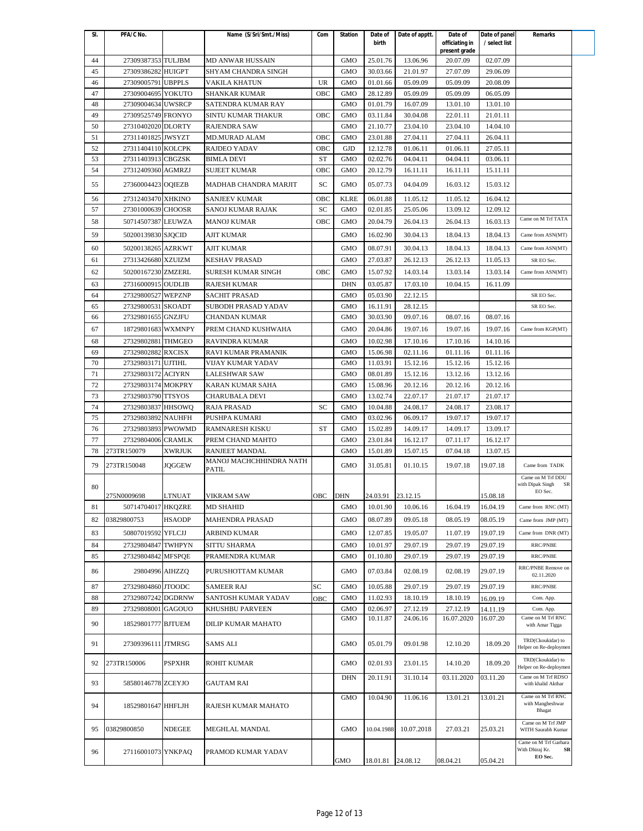| SI.      | PFA/C No.                                |               | Name (S/Sri/Smt./Miss)                       | Com       | Station           | Date of<br>birth     | Date of apptt.       | Date of<br>officiating in | Date of panel<br>/ select list | <b>Remarks</b>                                                     |
|----------|------------------------------------------|---------------|----------------------------------------------|-----------|-------------------|----------------------|----------------------|---------------------------|--------------------------------|--------------------------------------------------------------------|
| 44       | 27309387353 TULJBM                       |               | <b>MD ANWAR HUSSAIN</b>                      |           | <b>GMO</b>        | 25.01.76             | 13.06.96             | present grade<br>20.07.09 | 02.07.09                       |                                                                    |
| 45       | 27309386282 HUIGPT                       |               | SHYAM CHANDRA SINGH                          |           | <b>GMO</b>        | 30.03.66             | 21.01.97             | 27.07.09                  | 29.06.09                       |                                                                    |
| 46       | 27309005791                              | <b>UBPPLS</b> | VAKILA KHATUN                                | <b>UR</b> | <b>GMO</b>        | 01.01.66             | 05.09.09             | 05.09.09                  | 20.08.09                       |                                                                    |
| 47       | 27309004695 YOKUTO                       |               | SHANKAR KUMAR                                | OBC       | <b>GMO</b>        | 28.12.89             | 05.09.09             | 05.09.09                  | 06.05.09                       |                                                                    |
| 48       | 27309004634 UWSRCP                       |               | SATENDRA KUMAR RAY                           |           | <b>GMO</b>        | 01.01.79             | 16.07.09             | 13.01.10                  | 13.01.10                       |                                                                    |
| 49       | 27309525749 FRONYO                       |               | SINTU KUMAR THAKUR                           | OBC       | <b>GMO</b>        | 03.11.84             | 30.04.08             | 22.01.11                  | 21.01.11                       |                                                                    |
| 50       | 27310402020 DLORTY                       |               | <b>RAJENDRA SAW</b>                          |           | <b>GMO</b>        | 21.10.77             | 23.04.10             | 23.04.10                  | 14.04.10                       |                                                                    |
| 51       | 27311401825 JWSYZT                       |               | <b>MD.MURAD ALAM</b>                         | OBC       | <b>GMO</b>        | 23.01.88             | 27.04.11             | 27.04.11                  | 26.04.11                       |                                                                    |
| 52       | 27311404110 KOLCPK                       |               | <b>RAJDEO YADAV</b>                          | OBC       | <b>GJD</b>        | 12.12.78             | 01.06.11             | 01.06.11                  | 27.05.11                       |                                                                    |
| 53       | 27311403913 CBGZSK                       |               | <b>BIMLA DEVI</b>                            | ST        | <b>GMO</b>        | 02.02.76             | 04.04.11             | 04.04.11                  | 03.06.11                       |                                                                    |
| 54       | 27312409360 AGMRZJ                       |               | <b>SUJEET KUMAR</b>                          | OBC       | <b>GMO</b>        | 20.12.79             | 16.11.11             | 16.11.11                  | 15.11.11                       |                                                                    |
| 55       | 27360004423 OQIEZB                       |               | MADHAB CHANDRA MARJIT                        | SC        | <b>GMO</b>        | 05.07.73             | 04.04.09             | 16.03.12                  | 15.03.12                       |                                                                    |
| 56       | 27312403470 XHKINO                       |               | <b>SANJEEV KUMAR</b>                         | OBC       | <b>KLRE</b>       | 06.01.88             | 11.05.12             | 11.05.12                  | 16.04.12                       |                                                                    |
| 57       | 27301000639 CHOOSR                       |               | SANOJ KUMAR RAJAK                            | SC        | <b>GMO</b>        | 02.01.85             | 25.05.06             | 13.09.12                  | 12.09.12                       |                                                                    |
| 58       | 50714507387 LEUWZA                       |               | <b>MANOJ KUMAR</b>                           | OBC       | <b>GMO</b>        | 20.04.79             | 26.04.13             | 26.04.13                  | 16.03.13                       | Came on M Trf TATA                                                 |
|          |                                          |               |                                              |           |                   |                      |                      |                           |                                |                                                                    |
| 59       | 50200139830 SJQCID                       |               | <b>AJIT KUMAR</b>                            |           | <b>GMO</b>        | 16.02.90             | 30.04.13             | 18.04.13                  | 18.04.13                       | Came from ASN(MT)                                                  |
| 60       | 50200138265 AZRKWT                       |               | AJIT KUMAR                                   |           | <b>GMO</b>        | 08.07.91             | 30.04.13             | 18.04.13                  | 18.04.13                       | Came from ASN(MT)                                                  |
| 61       | 27313426680 XZUIZM                       |               | <b>KESHAV PRASAD</b>                         |           | <b>GMO</b>        | 27.03.87             | 26.12.13             | 26.12.13                  | 11.05.13                       | SR EO Sec.                                                         |
| 62       | 50200167230 ZMZERL                       |               | <b>SURESH KUMAR SINGH</b>                    | OBC       | <b>GMO</b>        | 15.07.92             | 14.03.14             | 13.03.14                  | 13.03.14                       | Came from ASN(MT)                                                  |
| 63       | 27316000915 OUDLIB                       |               | <b>RAJESH KUMAR</b>                          |           | <b>DHN</b>        | 03.05.87             | 17.03.10             | 10.04.15                  | 16.11.09                       |                                                                    |
| 64       | 27329800527 WEPZNP                       |               | <b>SACHIT PRASAD</b>                         |           | <b>GMO</b>        | 05.03.90             | 22.12.15             |                           |                                | SR EO Sec.                                                         |
| 65       | 27329800531 SKOADT                       |               | SUBODH PRASAD YADAV                          |           | <b>GMO</b>        | 16.11.91             | 28.12.15             |                           |                                | SR EO Sec.                                                         |
| 66       | 27329801655 GNZJFU                       |               | CHANDAN KUMAR                                |           | <b>GMO</b>        | 30.03.90             | 09.07.16             | 08.07.16                  | 08.07.16                       |                                                                    |
| 67       | 18729801683 WXMNPY                       |               | PREM CHAND KUSHWAHA                          |           | <b>GMO</b>        | 20.04.86             | 19.07.16             | 19.07.16                  | 19.07.16                       | Came from KGP(MT)                                                  |
| 68       | 27329802881                              | <b>THMGEO</b> | RAVINDRA KUMAR                               |           | <b>GMO</b>        | 10.02.98             | 17.10.16             | 17.10.16                  | 14.10.16                       |                                                                    |
| 69       | 27329802882 RXCISX                       |               | RAVI KUMAR PRAMANIK                          |           | <b>GMO</b>        | 15.06.98             | 02.11.16             | 01.11.16                  | 01.11.16                       |                                                                    |
| 70       | 27329803171 UJTIHL                       |               | VIJAY KUMAR YADAV                            |           | GMO               | 11.03.91             | 15.12.16             | 15.12.16                  | 15.12.16                       |                                                                    |
| 71       | 27329803172 ACIYRN                       |               | <b>LALESHWAR SAW</b>                         |           | <b>GMO</b>        | 08.01.89             | 15.12.16             | 13.12.16                  | 13.12.16                       |                                                                    |
| 72       | 27329803174 MOKPRY                       |               | KARAN KUMAR SAHA                             |           | <b>GMO</b>        | 15.08.96             | 20.12.16             | 20.12.16                  | 20.12.16                       |                                                                    |
| 73       | 27329803790 TTSYOS                       |               | CHARUBALA DEVI                               |           | <b>GMO</b>        | 13.02.74             | 22.07.17             | 21.07.17                  | 21.07.17                       |                                                                    |
| 74       | 27329803837 HHSOWQ                       |               | <b>RAJA PRASAD</b>                           | SC        | <b>GMO</b>        | 10.04.88             | 24.08.17             | 24.08.17                  | 23.08.17                       |                                                                    |
| 75       | 27329803892 NAUHFH                       |               | PUSHPA KUMARI                                |           | <b>GMO</b>        | 03.02.96             | 06.09.17             | 19.07.17                  | 19.07.17                       |                                                                    |
| 76       | 27329803893 PWOWMD                       |               | <b>RAMNARESH KISKU</b>                       | <b>ST</b> | <b>GMO</b>        | 15.02.89             | 14.09.17             | 14.09.17                  | 13.09.17                       |                                                                    |
| 77       | 27329804006 CRAMLK                       |               | PREM CHAND MAHTO                             |           | <b>GMO</b>        | 23.01.84             | 16.12.17             | 07.11.17                  | 16.12.17                       |                                                                    |
| 78       | 273TR150079                              | <b>XWRJUK</b> | RANJEET MANDAL                               |           | <b>GMO</b>        | 15.01.89             | 15.07.15             | 07.04.18                  | 13.07.15                       |                                                                    |
|          |                                          |               | MANOJ MACHCHHINDRA NATH                      |           |                   |                      |                      |                           |                                |                                                                    |
| 79       | 273TR150048                              | <b>JQGGEW</b> | PATIL                                        |           | <b>GMO</b>        | 31.05.81             | 01.10.15             | 19.07.18                  | 19.07.18                       | Came from TADK<br>Came on M Trf DDU                                |
| 80       |                                          |               |                                              |           |                   |                      |                      |                           |                                | with Dipak Singh<br>SR                                             |
|          | 275N0009698                              | <b>LTNUAT</b> | <b>VIKRAM SAW</b>                            | OBC       | <b>DHN</b>        | 24.03.91 23.12.15    |                      |                           | 15.08.18                       | EO Sec.                                                            |
| 81       | 50714704017 HKQZRE                       |               | <b>MD SHAHID</b>                             |           | <b>GMO</b>        | 10.01.90             | 10.06.16             | 16.04.19                  | 16.04.19                       | Came from RNC (MT)                                                 |
| 82       | 03829800753                              | <b>HSAODP</b> | <b>MAHENDRA PRASAD</b>                       |           | <b>GMO</b>        | 08.07.89             | 09.05.18             | 08.05.19                  | 08.05.19                       | Came from JMP (MT)                                                 |
| 83       | 50807019592 YFLCJJ                       |               | ARBIND KUMAR                                 |           | <b>GMO</b>        | 12.07.85             | 19.05.07             | 11.07.19                  | 19.07.19                       | Came from DNR (MT)                                                 |
| 84       | 27329804847 TWHPYN                       |               | SITTU SHARMA                                 |           | <b>GMO</b>        | 10.01.97             | 29.07.19             | 29.07.19                  | 29.07.19                       | RRC/PNBE                                                           |
| 85       | 27329804842 MFSPQE                       |               | PRAMENDRA KUMAR                              |           | GMO               | 01.10.80             | 29.07.19             | 29.07.19                  | 29.07.19                       | RRC/PNBE                                                           |
| 86       | 29804996 AIHZZQ                          |               | PURUSHOTTAM KUMAR                            |           | GMO               | 07.03.84             | 02.08.19             | 02.08.19                  | 29.07.19                       | RRC/PNBE Remove on                                                 |
|          |                                          |               |                                              |           |                   |                      |                      |                           |                                | 02.11.2020                                                         |
| 87       | 27329804860 JTOODC                       |               | <b>SAMEER RAJ</b>                            | SC        | <b>GMO</b>        | 10.05.88             | 29.07.19             | 29.07.19                  | 29.07.19                       | RRC/PNBE                                                           |
| 88       | 27329807242 DGDRNW                       |               | SANTOSH KUMAR YADAV                          | OBC       | <b>GMO</b>        | 11.02.93             | 18.10.19             | 18.10.19                  | 16.09.19                       | Com. App.                                                          |
| 89<br>90 | 27329808001 GAGOUO<br>18529801777 BJTUEM |               | KHUSHBU PARVEEN<br><b>DILIP KUMAR MAHATO</b> |           | GMO<br><b>GMO</b> | 02.06.97<br>10.11.87 | 27.12.19<br>24.06.16 | 27.12.19<br>16.07.2020    | 14.11.19<br>16.07.20           | Com. App.<br>Came on M Trf RNC<br>with Amar Tigga                  |
| 91       | 27309396111 JTMRSG                       |               | SAMS ALI                                     |           | <b>GMO</b>        | 05.01.79             | 09.01.98             | 12.10.20                  | 18.09.20                       | TRD(Ckoukidar) to                                                  |
| 92       | 273TR150006                              | <b>PSPXHR</b> | <b>ROHIT KUMAR</b>                           |           | <b>GMO</b>        | 02.01.93             | 23.01.15             | 14.10.20                  | 18.09.20                       | Helper on Re-deploymen<br>TRD(Ckoukidar) to                        |
| 93       | 58580146778 ZCEYJO                       |               | <b>GAUTAM RAI</b>                            |           | <b>DHN</b>        | 20.11.91             | 31.10.14             | 03.11.2020                | 03.11.20                       | Helper on Re-deploymen<br>Came on M Trf RDSO<br>with khalid Akthar |
| 94       | 18529801647 HHFLJH                       |               | RAJESH KUMAR MAHATO                          |           | <b>GMO</b>        | 10.04.90             | 11.06.16             | 13.01.21                  | 13.01.21                       | Came on M Trf RNC<br>with Mangheshwar                              |
|          |                                          |               |                                              |           |                   |                      |                      |                           |                                | Bhagat<br>Came on M Trf JMP                                        |
| 95       | 03829800850                              | NDEGEE        | MEGHLAL MANDAL                               |           | <b>GMO</b>        | 10.04.1988           | 10.07.2018           | 27.03.21                  | 25.03.21                       | WITH Saurabh Kumar<br>Came on M Trf Garhara                        |
| 96       | 27116001073 YNKPAQ                       |               | PRAMOD KUMAR YADAV                           |           | GMO               | 18.01.81             | 24.08.12             | 08.04.21                  | 05.04.21                       | With Dhiraj Kr.<br>SR<br>EO Sec.                                   |